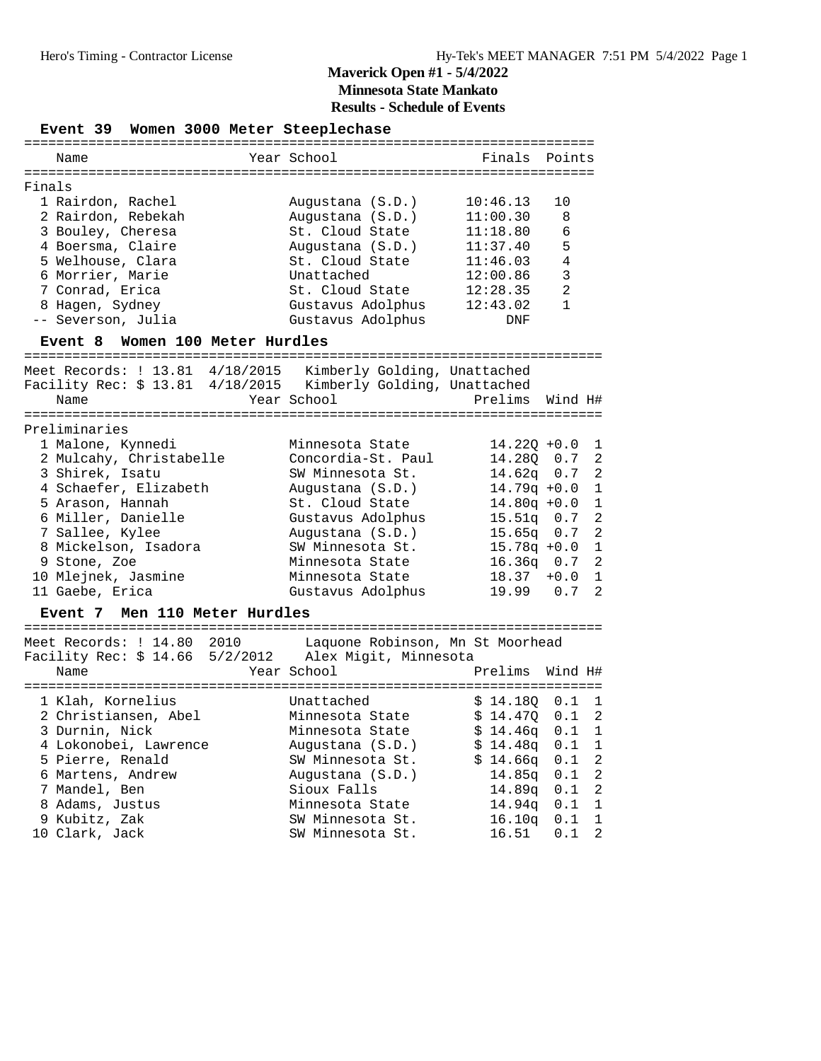Event 39 Women 3000 Meter Steeplechase

|        | Name               | Year School       | Finals Points |                |
|--------|--------------------|-------------------|---------------|----------------|
| Finals |                    |                   |               |                |
|        | 1 Rairdon, Rachel  | Augustana (S.D.)  | 10:46.13      | 1 O            |
|        | 2 Rairdon, Rebekah | Augustana (S.D.)  | 11:00.30      | -8             |
|        | 3 Bouley, Cheresa  | St. Cloud State   | 11:18.80      | 6              |
|        | 4 Boersma, Claire  | Augustana (S.D.)  | 11:37.40      | 5              |
|        | 5 Welhouse, Clara  | St. Cloud State   | 11:46.03      | $\overline{4}$ |
|        | 6 Morrier, Marie   | Unattached        | 12:00.86      | $\mathcal{R}$  |
|        | 7 Conrad, Erica    | St. Cloud State   | 12:28.35      | $\mathfrak{D}$ |
|        | 8 Hagen, Sydney    | Gustavus Adolphus | 12:43.02      | 1              |
|        | -- Severson, Julia | Gustavus Adolphus | DNF           |                |
|        |                    |                   |               |                |

#### **Event 8 Women 100 Meter Hurdles**

======================================================================== Meet Records: ! 13.81 4/18/2015 Kimberly Golding, Unattached

Facility Rec: \$ 13.81 4/18/2015 Kimberly Golding, Unattached Name Tear School Prelims Wind H# ======================================================================== Preliminaries 1 Malone, Kynnedi Minnesota State 14.22Q +0.0 1 2 Mulcahy, Christabelle Concordia-St. Paul 14.28Q 0.7 2 3 Shirek, Isatu SW Minnesota St. 14.62q 0.7 2 4 Schaefer, Elizabeth Augustana (S.D.) 14.79q +0.0 1 5 Arason, Hannah St. Cloud State 14.80q +0.0 1 6 Miller, Danielle Gustavus Adolphus 15.51q 0.7 2 7 Sallee, Kylee Augustana (S.D.) 15.65q 0.7 2 8 Mickelson, Isadora SW Minnesota St. 15.78q +0.0 1 9 Stone, Zoe Minnesota State 16.36q 0.7 2 10 Mlejnek, Jasmine Minnesota State 18.37 +0.0 1 11 Gaebe, Erica Gustavus Adolphus 19.99 0.7 2

#### **Event 7 Men 110 Meter Hurdles**

======================================================================== Meet Records: ! 14.80 2010 Laquone Robinson, Mn St Moorhead Facility Rec: \$ 14.66 5/2/2012 Alex Migit, Minnesota Name  $Year School$  Prelims Wind H# ======================================================================== 1 Klah, Kornelius Unattached \$ 14.18Q 0.1 1 2 Christiansen, Abel Minnesota State \$ 14.47Q 0.1 2 3 Durnin, Nick Minnesota State \$ 14.46q 0.1 1 4 Lokonobei, Lawrence Augustana (S.D.) \$ 14.48q 0.1 1 5 Pierre, Renald SW Minnesota St. \$ 14.66q 0.1 2 6 Martens, Andrew Augustana (S.D.) 14.85q 0.1 2 7 Mandel, Ben Sioux Falls 14.89q 0.1 2 8 Adams, Justus Minnesota State 14.94q 0.1 1 9 Kubitz, Zak SW Minnesota St. 16.10q 0.1 1 10 Clark, Jack SW Minnesota St. 16.51 0.1 2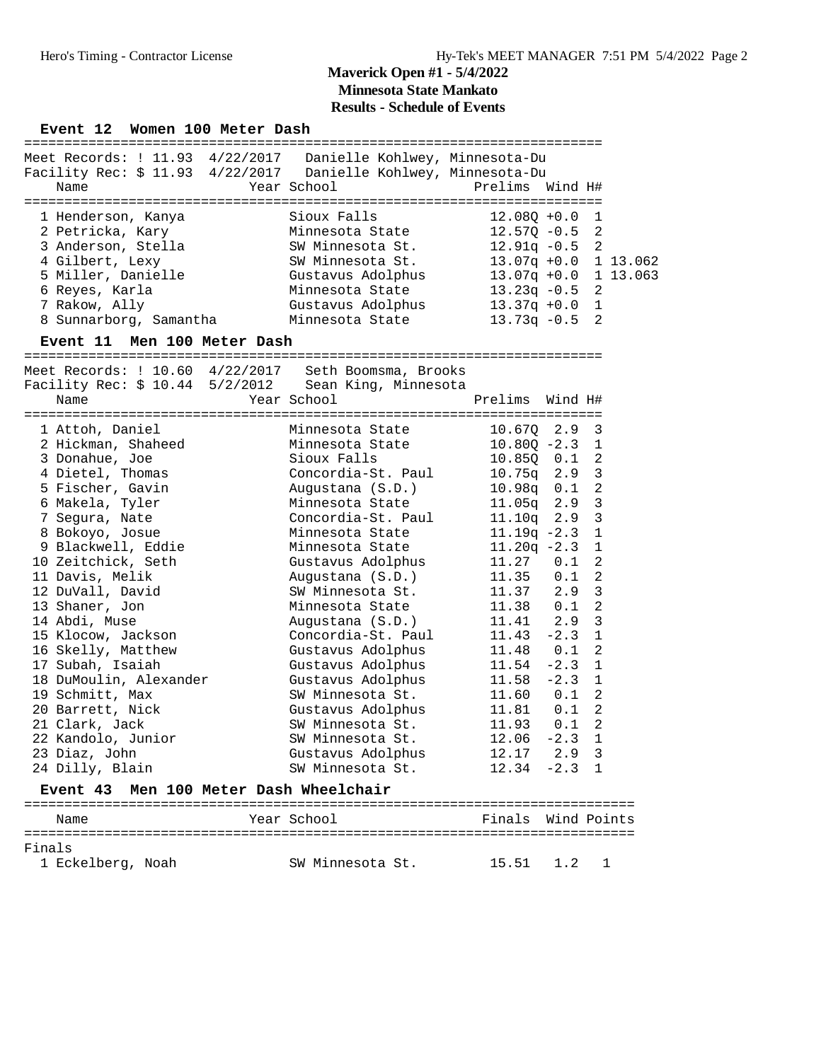#### Event 12 Women 100 Meter Dash

| Meet Records: ! 11.93 4/22/2017  Danielle Kohlwey, Minnesota-Du<br>Facility Rec: \$ 11.93 4/22/2017  Danielle Kohlwey, Minnesota-Du<br>Name | Year School       | Prelims Wind H#         |  |
|---------------------------------------------------------------------------------------------------------------------------------------------|-------------------|-------------------------|--|
|                                                                                                                                             |                   |                         |  |
| 1 Henderson, Kanya                                                                                                                          | Sioux Falls       | $12.080 + 0.0 1$        |  |
| 2 Petricka, Kary                                                                                                                            | Minnesota State   | $12.57Q - 0.5$ 2        |  |
| 3 Anderson, Stella                                                                                                                          | SW Minnesota St.  | $12.91q - 0.5$ 2        |  |
| 4 Gilbert, Lexy                                                                                                                             | SW Minnesota St.  | $13.07q + 0.0$ 1 13.062 |  |
| 5 Miller, Danielle                                                                                                                          | Gustavus Adolphus | $13.07q + 0.0$ 1 13.063 |  |
| 6 Reyes, Karla                                                                                                                              | Minnesota State   | $13.23q - 0.5$ 2        |  |
| 7 Rakow, Ally                                                                                                                               | Gustavus Adolphus | $13.37q + 0.0$ 1        |  |
| 8 Sunnarborg, Samantha                                                                                                                      | Minnesota State   | $13.73q - 0.5$<br>2     |  |
|                                                                                                                                             |                   |                         |  |

#### **Event 11 Men 100 Meter Dash**

========================================================================

|                        | Meet Records: $\frac{1}{10.60}$ 4/22/2017 Seth Boomsma, Brooks |                  |              |
|------------------------|----------------------------------------------------------------|------------------|--------------|
|                        | Facility Rec: \$ 10.44 5/2/2012 Sean King, Minnesota           |                  |              |
| Name                   | Year School                                                    | Prelims Wind H#  |              |
|                        |                                                                |                  |              |
| 1 Attoh, Daniel        | Minnesota State                                                | $10.670$ $2.9$ 3 |              |
| 2 Hickman, Shaheed     | Minnesota State                                                | $10.80Q - 2.3$ 1 |              |
| 3 Donahue, Joe         | Sioux Falls                                                    | 10.85Q 0.1 2     |              |
| 4 Dietel, Thomas       | Concordia-St. Paul                                             | $10.75q$ 2.9 3   |              |
| 5 Fischer, Gavin       | Augustana (S.D.)                                               | $10.98q$ 0.1 2   |              |
| 6 Makela, Tyler        | Minnesota State                                                | $11.05q$ 2.9 3   |              |
| 7 Segura, Nate         | Concordia-St. Paul                                             | $11.10q$ 2.9 3   |              |
| 8 Bokoyo, Josue        | Minnesota State                                                | $11.19q - 2.3$ 1 |              |
| 9 Blackwell, Eddie     | Minnesota State                                                | $11.20q -2.3$    | $\mathbf{1}$ |
| 10 Zeitchick, Seth     | Gustavus Adolphus                                              | $11.27$ 0.1 2    |              |
| 11 Davis, Melik        | Augustana (S.D.)                                               | $11.35$ 0.1 2    |              |
| 12 DuVall, David       | SW Minnesota St.                                               | $11.37$ $2.9$ 3  |              |
| 13 Shaner, Jon         | Minnesota State                                                | 11.38  0.1  2    |              |
| 14 Abdi, Muse          | Augustana (S.D.)                                               | $11.41$ 2.9 3    |              |
| 15 Klocow, Jackson     | Concordia-St. Paul                                             | $11.43 - 2.3$ 1  |              |
| 16 Skelly, Matthew     | Gustavus Adolphus                                              | $11.48$ 0.1 2    |              |
| 17 Subah, Isaiah       | Gustavus Adolphus                                              | $11.54 -2.3 1$   |              |
| 18 DuMoulin, Alexander | Gustavus Adolphus                                              | $11.58 - 2.3 1$  |              |
| 19 Schmitt, Max        | SW Minnesota St.                                               | $11.60$ $0.1$ 2  |              |
| 20 Barrett, Nick       | Gustavus Adolphus                                              | $11.81$ 0.1 2    |              |
| 21 Clark, Jack         | SW Minnesota St.                                               | $11.93$ 0.1 2    |              |
| 22 Kandolo, Junior     | SW Minnesota St. 12.06 -2.3 1                                  |                  |              |
| 23 Diaz, John          | Gustavus Adolphus 12.17 2.9 3                                  |                  |              |
| 24 Dilly, Blain        | SW Minnesota St.                                               | $12.34 -2.3$ 1   |              |
|                        | .                                                              |                  |              |

### **Event 43 Men 100 Meter Dash Wheelchair**

| Name                        | Year School      | Finals Wind Points |  |
|-----------------------------|------------------|--------------------|--|
| Finals<br>1 Eckelberg, Noah | SW Minnesota St. | $15.51$ $1.2$      |  |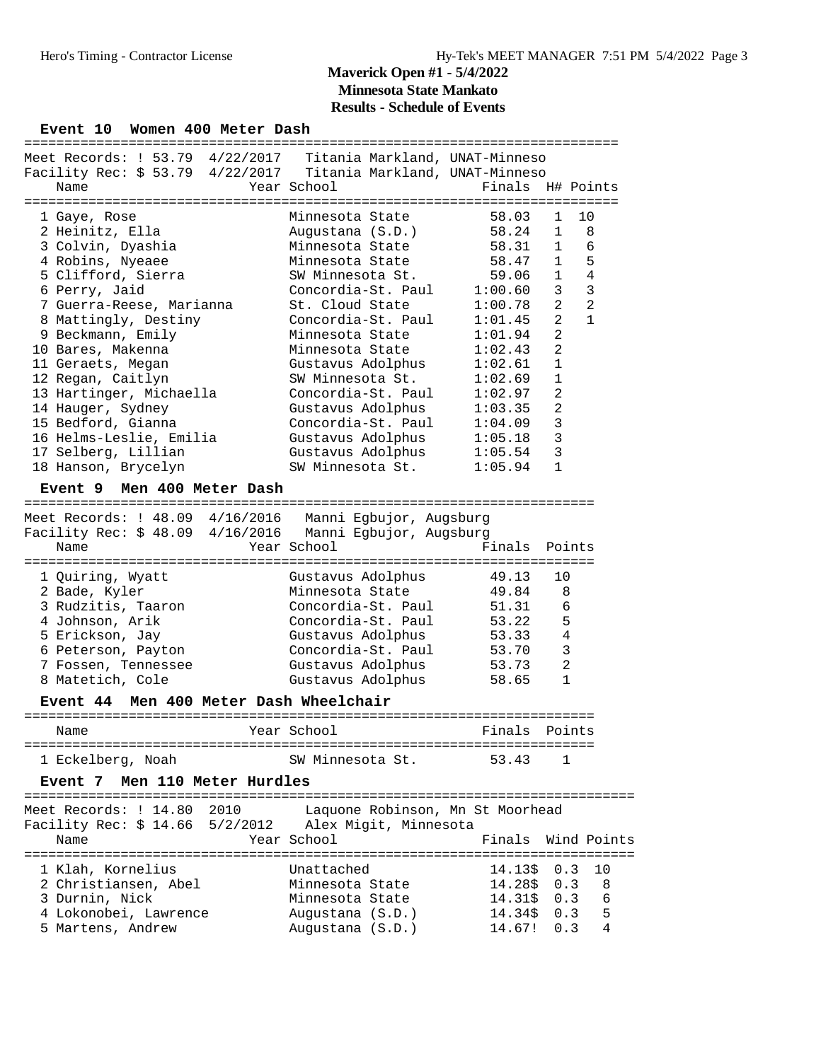#### Event 10 Women 400 Meter Dash

|                                                                 |                                      | ==================== |                                  |    |
|-----------------------------------------------------------------|--------------------------------------|----------------------|----------------------------------|----|
| Meet Records: ! 53.79 4/22/2017 Titania Markland, UNAT-Minneso  |                                      |                      |                                  |    |
| Facility Rec: \$ 53.79 4/22/2017 Titania Markland, UNAT-Minneso |                                      |                      |                                  |    |
| Name                                                            | Year School                          | Finals               | H# Points                        |    |
|                                                                 |                                      |                      |                                  |    |
| 1 Gaye, Rose                                                    | Minnesota State                      | 58.03                | 10<br>1                          |    |
| 2 Heinitz, Ella                                                 | Augustana (S.D.)                     | 58.24                | 8<br>1                           |    |
| 3 Colvin, Dyashia                                               | Minnesota State                      | 58.31                | $\mathbf{1}$<br>6                |    |
| 4 Robins, Nyeaee                                                | Minnesota State                      | 58.47                | 5<br>$\mathbf 1$                 |    |
| 5 Clifford, Sierra                                              | SW Minnesota St.                     | 59.06                | $\sqrt{4}$<br>$\mathbf{1}$       |    |
| 6 Perry, Jaid                                                   | Concordia-St. Paul                   | 1:00.60              | 3<br>3                           |    |
| 7 Guerra-Reese, Marianna                                        | St. Cloud State                      | 1:00.78              | $\overline{a}$<br>$\overline{2}$ |    |
| 8 Mattingly, Destiny                                            | Concordia-St. Paul                   | 1:01.45              | 2<br>$\mathbf{1}$                |    |
| 9 Beckmann, Emily                                               | Minnesota State                      | 1:01.94              | 2                                |    |
| 10 Bares, Makenna                                               | Minnesota State                      | 1:02.43              | $\overline{2}$                   |    |
| 11 Geraets, Megan                                               | Gustavus Adolphus                    | 1:02.61              | $\mathbf 1$                      |    |
| 12 Regan, Caitlyn                                               | SW Minnesota St.                     | 1:02.69              | $\mathbf{1}$                     |    |
| 13 Hartinger, Michaella                                         | Concordia-St. Paul                   | 1:02.97              | 2                                |    |
| 14 Hauger, Sydney                                               | Gustavus Adolphus                    | 1:03.35              | 2                                |    |
| 15 Bedford, Gianna                                              | Concordia-St. Paul                   | 1:04.09              | 3                                |    |
|                                                                 |                                      |                      | 3                                |    |
| 16 Helms-Leslie, Emilia                                         | Gustavus Adolphus                    | 1:05.18              | 3                                |    |
| 17 Selberg, Lillian                                             | Gustavus Adolphus                    | 1:05.54              |                                  |    |
| 18 Hanson, Brycelyn                                             | SW Minnesota St.                     | 1:05.94              | $\mathbf{1}$                     |    |
| Men 400 Meter Dash<br>Event 9                                   |                                      |                      |                                  |    |
|                                                                 |                                      |                      |                                  |    |
| Meet Records: ! 48.09 4/16/2016 Manni Egbujor, Augsburg         |                                      |                      |                                  |    |
| Facility Rec: \$ 48.09 4/16/2016 Manni Egbujor, Augsburg        |                                      |                      |                                  |    |
| Name                                                            | Year School                          | Finals               | Points                           |    |
|                                                                 |                                      |                      |                                  |    |
| 1 Quiring, Wyatt                                                | Gustavus Adolphus                    | 49.13                | 10                               |    |
| 2 Bade, Kyler                                                   | Minnesota State                      | 49.84                | 8                                |    |
| 3 Rudzitis, Taaron                                              | Concordia-St. Paul                   | 51.31                | 6                                |    |
| 4 Johnson, Arik                                                 | Concordia-St. Paul                   | 53.22                | 5                                |    |
| 5 Erickson, Jay                                                 | Gustavus Adolphus                    | 53.33                | $\overline{4}$                   |    |
| 6 Peterson, Payton                                              | Concordia-St. Paul                   | 53.70                | 3                                |    |
| 7 Fossen, Tennessee                                             | Gustavus Adolphus                    | 53.73                | 2                                |    |
| 8 Matetich, Cole                                                |                                      |                      |                                  |    |
|                                                                 |                                      |                      | $\mathbf{1}$                     |    |
|                                                                 | Gustavus Adolphus                    | 58.65                |                                  |    |
| Men 400 Meter Dash Wheelchair<br><b>Event 44</b>                |                                      |                      |                                  |    |
|                                                                 |                                      |                      |                                  |    |
| Name                                                            | Year School                          | Finals               | Points                           |    |
|                                                                 |                                      |                      |                                  |    |
| 1 Eckelberg, Noah                                               | SW Minnesota St.                     | 53.43                | 1                                |    |
| Event 7 Men 110 Meter Hurdles                                   |                                      |                      |                                  |    |
|                                                                 |                                      |                      |                                  |    |
| Meet Records: ! 14.80<br>2010                                   | Laquone Robinson, Mn St Moorhead     |                      |                                  |    |
| Facility Rec: \$ 14.66 5/2/2012 Alex Migit, Minnesota           |                                      |                      |                                  |    |
| Name                                                            | Year School                          | Finals               | Wind Points                      |    |
|                                                                 |                                      |                      |                                  |    |
| 1 Klah, Kornelius                                               | Unattached                           | 14.13\$              | 0.3                              | 10 |
| 2 Christiansen, Abel                                            | Minnesota State                      | 14.28\$              | 0.3                              | 8  |
| 3 Durnin, Nick                                                  | Minnesota State                      | 14.31\$              | 0.3                              | 6  |
| 4 Lokonobei, Lawrence                                           | Augustana (S.D.)<br>Augustana (S.D.) | 14.34\$              | 0.3                              | 5  |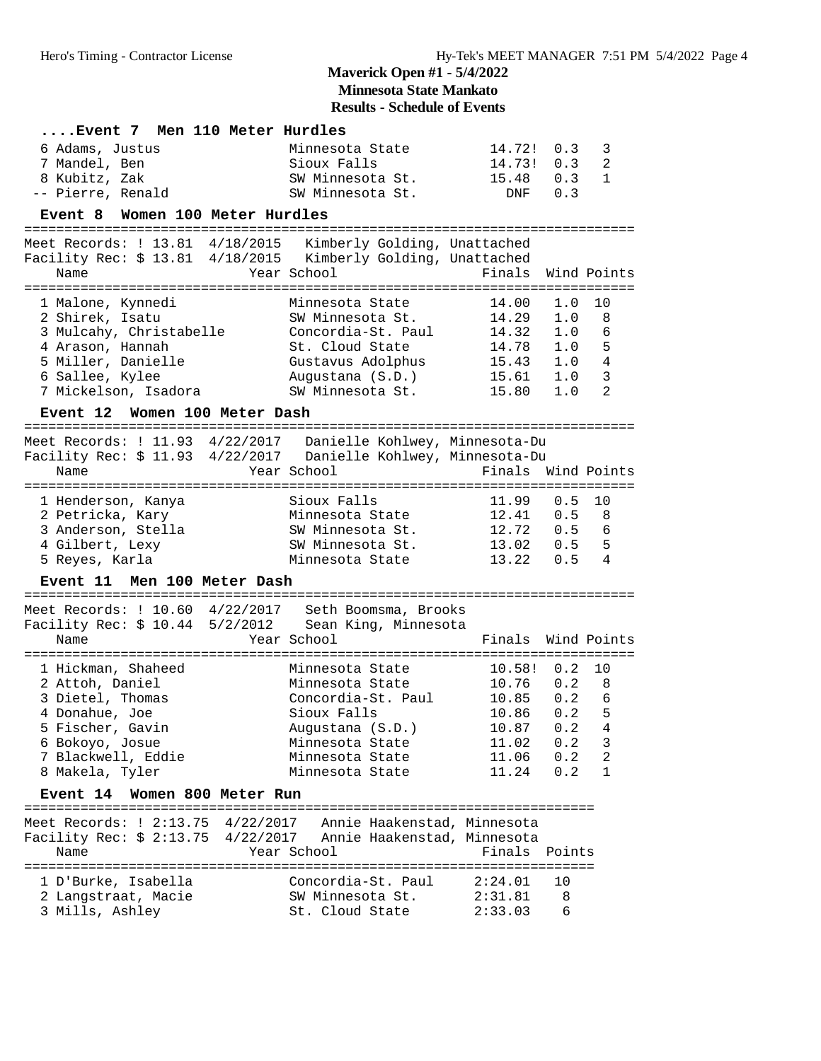## **Results - Schedule of Events**

| Event 7 Men 110 Meter Hurdles                                                                                                                               |                                                                                                                                                               |                                                              |                                                      |                                                            |
|-------------------------------------------------------------------------------------------------------------------------------------------------------------|---------------------------------------------------------------------------------------------------------------------------------------------------------------|--------------------------------------------------------------|------------------------------------------------------|------------------------------------------------------------|
| 6 Adams, Justus<br>7 Mandel, Ben<br>8 Kubitz, Zak                                                                                                           | Minnesota State<br>Sioux Falls<br>SW Minnesota St.                                                                                                            | 14.72! 0.3<br>14.73!<br>15.48                                | 0.3<br>0.3                                           | 3<br>2<br>$\mathbf{1}$                                     |
| -- Pierre, Renald                                                                                                                                           | SW Minnesota St.                                                                                                                                              | DNF                                                          | 0.3                                                  |                                                            |
| Event 8 Women 100 Meter Hurdles                                                                                                                             |                                                                                                                                                               |                                                              |                                                      |                                                            |
| Meet Records: ! 13.81 4/18/2015 Kimberly Golding, Unattached<br>Facility Rec: \$ 13.81 4/18/2015 Kimberly Golding, Unattached<br>Name                       | Year School                                                                                                                                                   | Finals                                                       |                                                      | Wind Points                                                |
| 1 Malone, Kynnedi<br>2 Shirek, Isatu<br>3 Mulcahy, Christabelle<br>4 Arason, Hannah<br>5 Miller, Danielle<br>6 Sallee, Kylee<br>7 Mickelson, Isadora        | Minnesota State<br>SW Minnesota St.<br>Concordia-St. Paul<br>St. Cloud State<br>Gustavus Adolphus 15.43 1.0<br>Augustana (S.D.) 15.61 1.0<br>SW Minnesota St. | 14.00<br>14.29<br>14.32<br>14.78<br>15.80                    | 1.0<br>1.0<br>1.0<br>1.0<br>1.0                      | 10<br>8<br>6<br>5<br>$\overline{4}$<br>$\overline{3}$<br>2 |
| Event 12 Women 100 Meter Dash                                                                                                                               |                                                                                                                                                               |                                                              |                                                      |                                                            |
| Meet Records: ! 11.93 4/22/2017  Danielle Kohlwey, Minnesota-Du<br>Facility Rec: \$ 11.93 4/22/2017  Danielle Kohlwey, Minnesota-Du<br>Name                 | Year School                                                                                                                                                   | Finals                                                       |                                                      | Wind Points                                                |
| 1 Henderson, Kanya<br>2 Petricka, Kary<br>3 Anderson, Stella<br>4 Gilbert, Lexy<br>5 Reyes, Karla                                                           | Sioux Falls<br>Minnesota State 12.41<br>SW Minnesota St.<br>SW Minnesota St.<br>Minnesota State                                                               | 11.99<br>12.72<br>13.02<br>13.22                             | 0.5<br>0.5<br>0.5<br>0.5 5<br>0.5                    | 10<br>8<br>6<br>4                                          |
| Men 100 Meter Dash<br><b>Event 11</b>                                                                                                                       |                                                                                                                                                               |                                                              |                                                      |                                                            |
| Meet Records: ! 10.60 4/22/2017 Seth Boomsma, Brooks<br>Facility Rec: \$ 10.44 5/2/2012 Sean King, Minnesota<br>Name                                        | Year School                                                                                                                                                   | Finals                                                       |                                                      | Wind Points                                                |
| 1 Hickman, Shaheed<br>2 Attoh, Daniel<br>3 Dietel, Thomas<br>4 Donahue, Joe<br>5 Fischer, Gavin<br>6 Bokoyo, Josue<br>7 Blackwell, Eddie<br>8 Makela, Tyler | Minnesota State<br>Minnesota State<br>Concordia-St. Paul 10.85<br>Sioux Falls<br>Augustana (S.D.)<br>Minnesota State<br>Minnesota State<br>Minnesota State    | 10.58!<br>10.76<br>10.86<br>10.87<br>11.02<br>11.06<br>11.24 | 0.2<br>0.2<br>0.2<br>0.2<br>0.2<br>0.2<br>0.2<br>0.2 | 10<br>8<br>6<br>5<br>4<br>3<br>2<br>1                      |
| Event 14 Women 800 Meter Run                                                                                                                                |                                                                                                                                                               |                                                              |                                                      |                                                            |
| Meet Records: ! 2:13.75 4/22/2017 Annie Haakenstad, Minnesota<br>Facility Rec: \$ 2:13.75 4/22/2017 Annie Haakenstad, Minnesota<br>Name                     | Year School                                                                                                                                                   | Finals                                                       | Points                                               |                                                            |
| 1 D'Burke, Isabella<br>2 Langstraat, Macie<br>3 Mills, Ashley                                                                                               | Concordia-St. Paul<br>SW Minnesota St.<br>St. Cloud State                                                                                                     | 2:24.01<br>2:31.81<br>2:33.03                                | 10<br>8<br>6                                         |                                                            |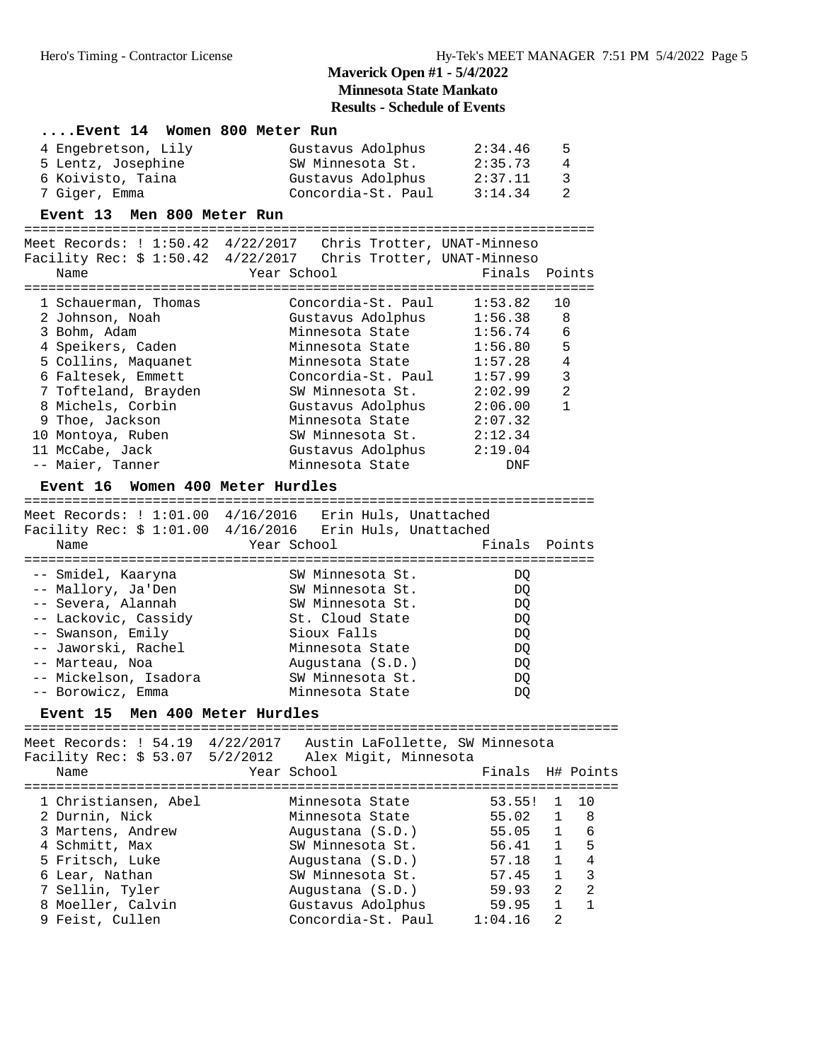|                                                                 | <b>Results - Schedule of Events</b>     |                  |                                   |
|-----------------------------------------------------------------|-----------------------------------------|------------------|-----------------------------------|
| Event 14  Women 800 Meter Run                                   |                                         |                  |                                   |
| 4 Engebretson, Lily                                             | Gustavus Adolphus                       | 2:34.46          | 5                                 |
| 5 Lentz, Josephine                                              | SW Minnesota St.                        | 2:35.73          | 4                                 |
| 6 Koivisto, Taina                                               | Gustavus Adolphus 2:37.11               |                  | 3                                 |
| 7 Giger, Emma                                                   | Concordia-St. Paul $3:14.34$            |                  | $\overline{a}$                    |
|                                                                 |                                         |                  |                                   |
| Event 13 Men 800 Meter Run                                      |                                         |                  |                                   |
| Meet Records: ! 1:50.42 4/22/2017 Chris Trotter, UNAT-Minneso   |                                         |                  |                                   |
| Facility Rec: \$ 1:50.42 4/22/2017 Chris Trotter, UNAT-Minneso  |                                         |                  |                                   |
| Year School<br>Name                                             |                                         | Finals           | Points                            |
|                                                                 |                                         |                  |                                   |
| 1 Schauerman, Thomas                                            | Concordia-St. Paul                      | 1:53.82          | 10                                |
| 2 Johnson, Noah                                                 | Gustavus Adolphus $1:56.38$             |                  | 8                                 |
| 3 Bohm, Adam                                                    | Minnesota State                         | 1:56.74          | 6                                 |
| 4 Speikers, Caden                                               | Minnesota State 1:56.80                 |                  | 5                                 |
| 5 Collins, Maquanet                                             | Minnesota State 1:57.28                 |                  | 4                                 |
| 6 Faltesek, Emmett                                              | Concordia-St. Paul 1:57.99              |                  | 3                                 |
| 7 Tofteland, Brayden                                            | SW Minnesota St.                        | 2:02.99          | 2                                 |
| 8 Michels, Corbin                                               | Gustavus Adolphus $2:06.00$             |                  | $\mathbf{1}$                      |
| 9 Thoe, Jackson                                                 | Minnesota State                         | 2:07.32          |                                   |
| 10 Montoya, Ruben                                               | SW Minnesota St. 2:12.34                |                  |                                   |
| 11 McCabe, Jack                                                 | Gustavus Adolphus 2:19.04               |                  |                                   |
| -- Maier, Tanner                                                | Minnesota State                         | DNF              |                                   |
| Event 16 Women 400 Meter Hurdles                                |                                         |                  |                                   |
|                                                                 |                                         |                  |                                   |
| Meet Records: ! 1:01.00 4/16/2016 Erin Huls, Unattached         |                                         |                  |                                   |
| Facility Rec: \$ 1:01.00 4/16/2016 Erin Huls, Unattached        |                                         |                  |                                   |
| Name                                                            | Year School                             | Finals Points    |                                   |
| -- Smidel, Kaaryna                                              | SW Minnesota St.                        | DQ               |                                   |
| -- Mallory, Ja'Den                                              | SW Minnesota St.                        | DQ               |                                   |
| -- Severa, Alannah                                              | SW Minnesota St.                        | DQ               |                                   |
| -- Lackovic, Cassidy                                            | St. Cloud State                         | DQ               |                                   |
| -- Swanson, Emily                                               | Sioux Falls                             | DQ               |                                   |
| -- Jaworski, Rachel                                             | Minnesota State                         | DQ               |                                   |
| -- Marteau, Noa                                                 | Augustana (S.D.)                        | DQ               |                                   |
| -- Mickelson, Isadora                                           | SW Minnesota St.                        | DQ               |                                   |
| -- Borowicz, Emma                                               | Minnesota State                         | DQ               |                                   |
| Event 15 Men 400 Meter Hurdles                                  |                                         |                  |                                   |
|                                                                 |                                         |                  |                                   |
| Meet Records: ! 54.19 4/22/2017 Austin LaFollette, SW Minnesota |                                         |                  |                                   |
| Facility Rec: \$ 53.07 5/2/2012                                 | Alex Migit, Minnesota                   |                  |                                   |
| Name                                                            | Year School                             | Finals           | H# Points                         |
|                                                                 |                                         |                  |                                   |
| 1 Christiansen, Abel                                            | Minnesota State                         | 53.55!           | 10<br>1                           |
| 2 Durnin, Nick                                                  | Minnesota State                         | 55.02            | 8<br>$\mathbf{1}$                 |
| 3 Martens, Andrew                                               | Augustana (S.D.)                        | 55.05            | $\mathbf{1}$<br>6                 |
| 4 Schmitt, Max                                                  | SW Minnesota St.                        | 56.41            | $\mathbf{1}$<br>5                 |
| 5 Fritsch, Luke                                                 | Augustana (S.D.)                        | 57.18            | $\overline{4}$<br>$\mathbf{1}$    |
| 6 Lear, Nathan                                                  | SW Minnesota St.                        | 57.45            | $\mathbf{3}$<br>$\mathbf{1}$      |
| 7 Sellin, Tyler                                                 | Augustana (S.D.)                        | 59.93            | $\overline{2}$<br>2               |
|                                                                 |                                         |                  |                                   |
| 8 Moeller, Calvin<br>9 Feist, Cullen                            | Gustavus Adolphus<br>Concordia-St. Paul | 59.95<br>1:04.16 | $\mathbf{1}$<br>$\mathbf{1}$<br>2 |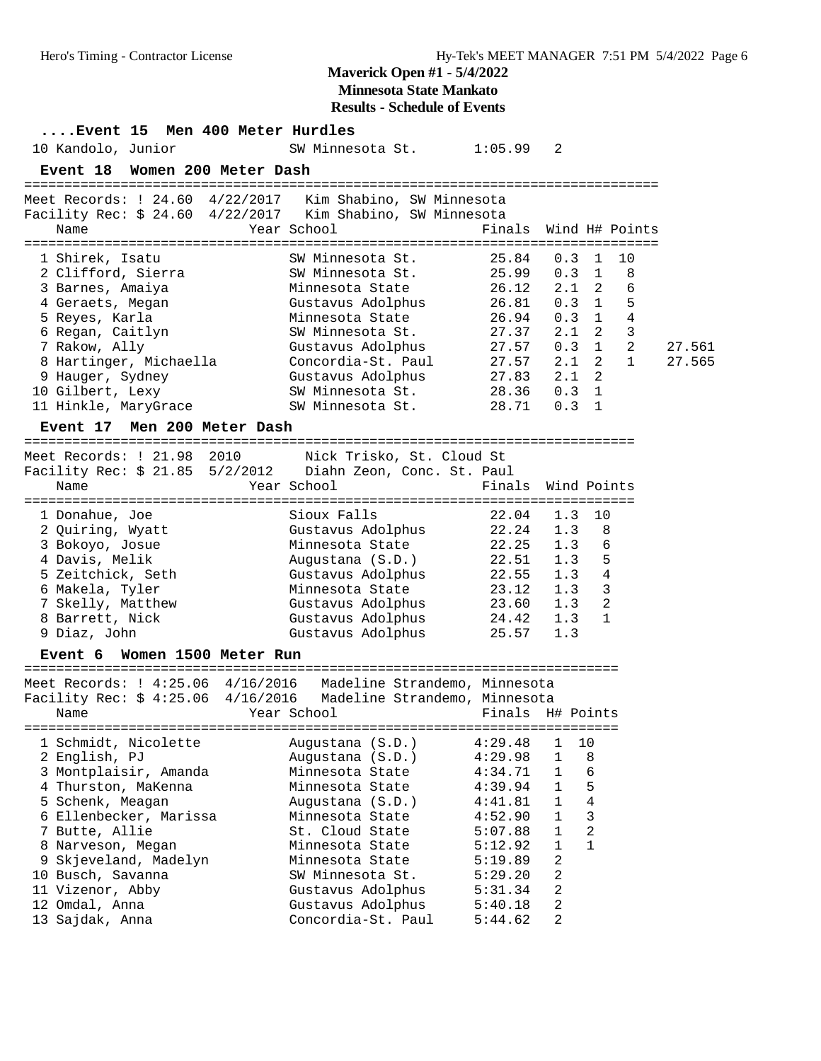**Results - Schedule of Events**

| 10 Kandolo, Junior                                                                                                                                                                                                                                        | Event 15 Men 400 Meter Hurdles | SW Minnesota St.           1:05.99                                                                                                                                                                                                         |                                                                                                                                  | 2                                                                                                                              |                                                                                                                                                                              |                  |
|-----------------------------------------------------------------------------------------------------------------------------------------------------------------------------------------------------------------------------------------------------------|--------------------------------|--------------------------------------------------------------------------------------------------------------------------------------------------------------------------------------------------------------------------------------------|----------------------------------------------------------------------------------------------------------------------------------|--------------------------------------------------------------------------------------------------------------------------------|------------------------------------------------------------------------------------------------------------------------------------------------------------------------------|------------------|
|                                                                                                                                                                                                                                                           | Event 18 Women 200 Meter Dash  |                                                                                                                                                                                                                                            |                                                                                                                                  |                                                                                                                                |                                                                                                                                                                              |                  |
| Name                                                                                                                                                                                                                                                      |                                | Meet Records: ! 24.60 4/22/2017 Kim Shabino, SW Minnesota<br>Facility Rec: \$ 24.60 4/22/2017 Kim Shabino, SW Minnesota<br>Year School                                                                                                     | Finals                                                                                                                           |                                                                                                                                | Wind H# Points                                                                                                                                                               |                  |
| 1 Shirek, Isatu<br>2 Clifford, Sierra<br>3 Barnes, Amaiya<br>4 Geraets, Megan<br>5 Reyes, Karla<br>6 Regan, Caitlyn<br>7 Rakow, Ally<br>8 Hartinger, Michaella<br>9 Hauger, Sydney<br>10 Gilbert, Lexy<br>11 Hinkle, MaryGrace<br><b>Event 17</b>         | Men 200 Meter Dash             | SW Minnesota St.<br>SW Minnesota St.<br>Minnesota State<br>Gustavus Adolphus<br>Minnesota State<br>SW Minnesota St.<br>Gustavus Adolphus<br>Concordia-St. Paul<br>Gustavus Adolphus<br>SW Minnesota St.<br>SW Minnesota St.                | 25.84<br>25.99<br>26.12<br>$20.94$<br>$26.94$<br>27.37<br>27.57<br>27.57<br>27.83<br>28.36<br>28.71                              | 0.3<br>0.3<br>2.1<br>0.3<br>0.3<br>2.1<br>0.3<br>2.1<br>2.1<br>0.3<br>0.3                                                      | 10<br>1<br>8<br>1<br>2<br>6<br>5<br>$\mathbf{1}$<br>4<br>$\mathbf{1}$<br>3<br>2<br>$\overline{2}$<br>$\mathbf{1}$<br>$\overline{2}$<br>$\mathbf{1}$<br>2<br>$\mathbf 1$<br>1 | 27.561<br>27.565 |
|                                                                                                                                                                                                                                                           |                                |                                                                                                                                                                                                                                            |                                                                                                                                  |                                                                                                                                |                                                                                                                                                                              |                  |
| Name                                                                                                                                                                                                                                                      |                                | Meet Records: ! 21.98 2010 Nick Trisko, St. Cloud St<br>Facility Rec: \$ 21.85 5/2/2012    Diahn Zeon, Conc. St. Paul<br>Year School                                                                                                       | Finals                                                                                                                           |                                                                                                                                | Wind Points                                                                                                                                                                  |                  |
| 1 Donahue, Joe<br>2 Quiring, Wyatt<br>3 Bokoyo, Josue<br>4 Davis, Melik<br>5 Zeitchick, Seth<br>6 Makela, Tyler<br>7 Skelly, Matthew<br>8 Barrett, Nick<br>9 Diaz, John                                                                                   |                                | Sioux Falls<br>Gustavus Adolphus<br>Minnesota State<br>Augustana (S.D.)<br>Gustavus Adolphus<br>Minnesota State<br>Gustavus Adolphus<br>Gustavus Adolphus<br>Gustavus Adolphus                                                             | 22.04<br>22.24<br>22.25<br>22.51<br>22.55<br>23.12<br>23.60<br>24.42<br>25.57                                                    | 1.3<br>1.3<br>1.3<br>1.3<br>1.3<br>$1.3 \t3$<br>1.3<br>1.3<br>1.3                                                              | 10<br>8<br>6<br>5<br>$\overline{4}$<br>2<br>$\mathbf{1}$                                                                                                                     |                  |
|                                                                                                                                                                                                                                                           | Event 6 Women 1500 Meter Run   |                                                                                                                                                                                                                                            |                                                                                                                                  |                                                                                                                                |                                                                                                                                                                              |                  |
| Name<br>1 Schmidt, Nicolette                                                                                                                                                                                                                              |                                | Meet Records: ! 4:25.06 4/16/2016 Madeline Strandemo, Minnesota<br>Facility Rec: \$ 4:25.06 4/16/2016 Madeline Strandemo, Minnesota<br>Year School<br>Augustana (S.D.)                                                                     | Finals H# Points<br>4:29.48                                                                                                      | 1                                                                                                                              | 10                                                                                                                                                                           |                  |
| 2 English, PJ<br>3 Montplaisir, Amanda<br>4 Thurston, MaKenna<br>5 Schenk, Meagan<br>6 Ellenbecker, Marissa<br>7 Butte, Allie<br>8 Narveson, Megan<br>9 Skjeveland, Madelyn<br>10 Busch, Savanna<br>11 Vizenor, Abby<br>12 Omdal, Anna<br>13 Sajdak, Anna |                                | Augustana (S.D.)<br>Minnesota State<br>Minnesota State<br>Augustana (S.D.)<br>Minnesota State<br>St. Cloud State<br>Minnesota State<br>Minnesota State<br>SW Minnesota St.<br>Gustavus Adolphus<br>Gustavus Adolphus<br>Concordia-St. Paul | 4:29.98<br>4:34.71<br>4:39.94<br>4:41.81<br>4:52.90<br>5:07.88<br>5:12.92<br>5:19.89<br>5:29.20<br>5:31.34<br>5:40.18<br>5:44.62 | 1<br>1<br>1<br>$\mathbf{1}$<br>$\mathbf{1}$<br>$\mathbf{1}$<br>$\mathbf{1}$<br>2<br>$\overline{a}$<br>2<br>2<br>$\overline{a}$ | 8<br>6<br>5<br>$\sqrt{4}$<br>$\mathbf{3}$<br>$\overline{2}$<br>$\mathbf{1}$                                                                                                  |                  |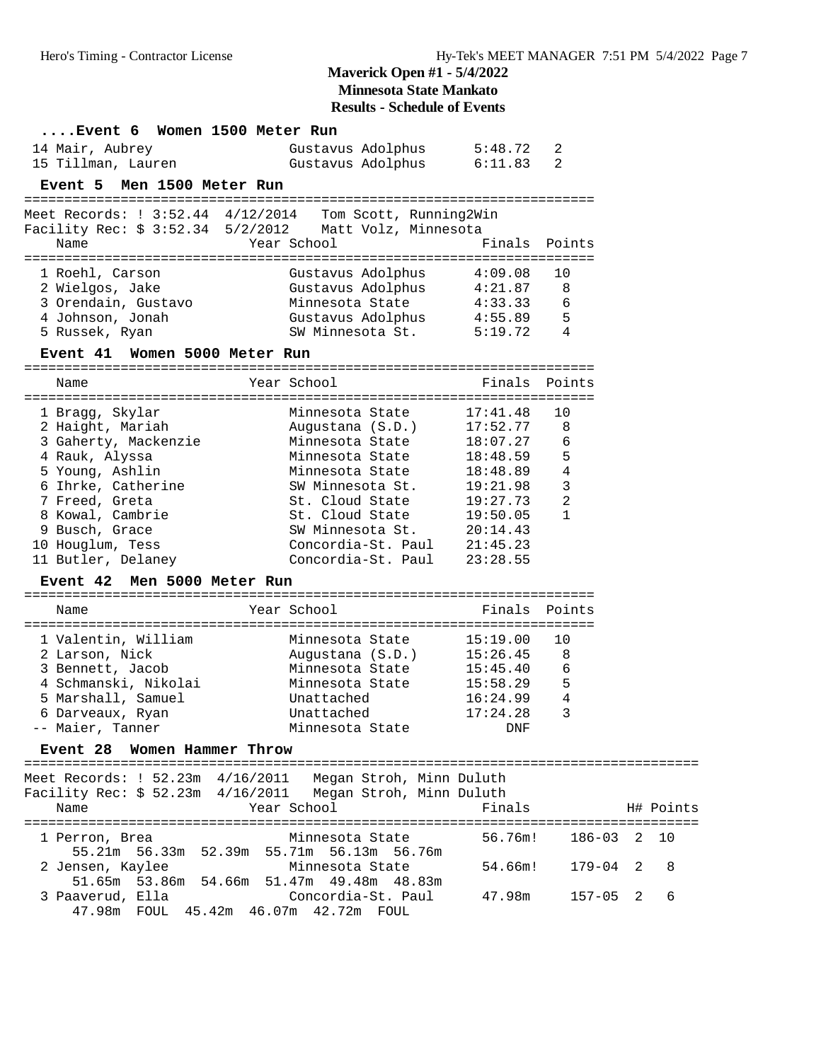| Event 6 Women 1500 Meter Run                                  |                                     |               |                |   |           |
|---------------------------------------------------------------|-------------------------------------|---------------|----------------|---|-----------|
| 14 Mair, Aubrey                                               | Gustavus Adolphus                   | 5:48.72       | 2              |   |           |
| 15 Tillman, Lauren                                            | Gustavus Adolphus                   | 6:11.83       | 2              |   |           |
| Event 5 Men 1500 Meter Run                                    |                                     |               |                |   |           |
|                                                               |                                     |               |                |   |           |
| Meet Records: ! 3:52.44 4/12/2014                             | Tom Scott, Running2Win              |               |                |   |           |
| Facility Rec: \$ 3:52.34 5/2/2012                             | Matt Volz, Minnesota                |               |                |   |           |
| Name                                                          | Year School                         | Finals        | Points         |   |           |
| 1 Roehl, Carson                                               | Gustavus Adolphus                   | 4:09.08       | 10             |   |           |
| 2 Wielgos, Jake                                               | Gustavus Adolphus                   | 4:21.87       | 8              |   |           |
| 3 Orendain, Gustavo                                           | Minnesota State                     | 4:33.33       | 6              |   |           |
| 4 Johnson, Jonah                                              | Gustavus Adolphus                   | 4:55.89       | 5              |   |           |
| 5 Russek, Ryan                                                | SW Minnesota St.                    | 5:19.72       | 4              |   |           |
| Event 41 Women 5000 Meter Run                                 |                                     |               |                |   |           |
|                                                               |                                     |               |                |   |           |
| Name                                                          | Year School                         | Finals Points |                |   |           |
|                                                               | Minnesota State                     | 17:41.48      | 10             |   |           |
| 1 Bragg, Skylar                                               |                                     | 17:52.77      | 8              |   |           |
| 2 Haight, Mariah<br>3 Gaherty, Mackenzie                      | Augustana (S.D.)<br>Minnesota State | 18:07.27      | 6              |   |           |
| 4 Rauk, Alyssa                                                | Minnesota State                     | 18:48.59      | 5              |   |           |
| 5 Young, Ashlin                                               | Minnesota State                     | 18:48.89      | $\overline{4}$ |   |           |
| 6 Ihrke, Catherine                                            | SW Minnesota St.                    | 19:21.98      | 3              |   |           |
| 7 Freed, Greta                                                | St. Cloud State                     | 19:27.73      | 2              |   |           |
| 8 Kowal, Cambrie                                              | St. Cloud State                     | 19:50.05      | $\mathbf{1}$   |   |           |
| 9 Busch, Grace                                                | SW Minnesota St. 20:14.43           |               |                |   |           |
| 10 Houglum, Tess                                              | Concordia-St. Paul 21:45.23         |               |                |   |           |
| 11 Butler, Delaney                                            | Concordia-St. Paul                  | 23:28.55      |                |   |           |
| Men 5000 Meter Run<br><b>Event 42</b>                         |                                     |               |                |   |           |
|                                                               |                                     |               |                |   |           |
| Name                                                          | Year School                         | Finals Points |                |   |           |
| 1 Valentin, William                                           | Minnesota State                     | 15:19.00      | 10             |   |           |
| 2 Larson, Nick                                                | Augustana (S.D.)                    | 15:26.45      | 8              |   |           |
| 3 Bennett, Jacob                                              | Minnesota State                     | 15:45.40      | 6              |   |           |
| 4 Schmanski, Nikolai                                          | Minnesota State                     | 15:58.29      | 5              |   |           |
| 5 Marshall, Samuel                                            | Unattached                          | 16:24.99      | $\overline{4}$ |   |           |
| 6 Darveaux, Ryan                                              | Unattached                          | 17:24.28      | 3              |   |           |
| -- Maier, Tanner                                              | Minnesota State                     | DNF           |                |   |           |
| Women Hammer Throw<br><b>Event 28</b>                         |                                     |               |                |   |           |
| Meet Records: ! 52.23m 4/16/2011 Megan Stroh, Minn Duluth     |                                     |               |                |   |           |
| Facility Rec: \$ 52.23m 4/16/2011 Megan Stroh, Minn Duluth    |                                     |               |                |   |           |
| Name                                                          | Year School                         | Finals        |                |   | H# Points |
|                                                               |                                     |               |                |   |           |
| 1 Perron, Brea                                                | Minnesota State                     | 56.76m!       | 186-03         | 2 | 10        |
| 55.21m 56.33m 52.39m 55.71m 56.13m 56.76m                     |                                     |               |                |   |           |
| 2 Jensen, Kaylee                                              | Minnesota State                     | 54.66m!       | 179-04         | 2 | 8         |
| 51.65m 53.86m 54.66m 51.47m 49.48m 48.83m<br>3 Paaverud, Ella | Concordia-St. Paul                  |               |                | 2 | 6         |
| 47.98m FOUL 45.42m 46.07m 42.72m FOUL                         |                                     | 47.98m        | 157-05         |   |           |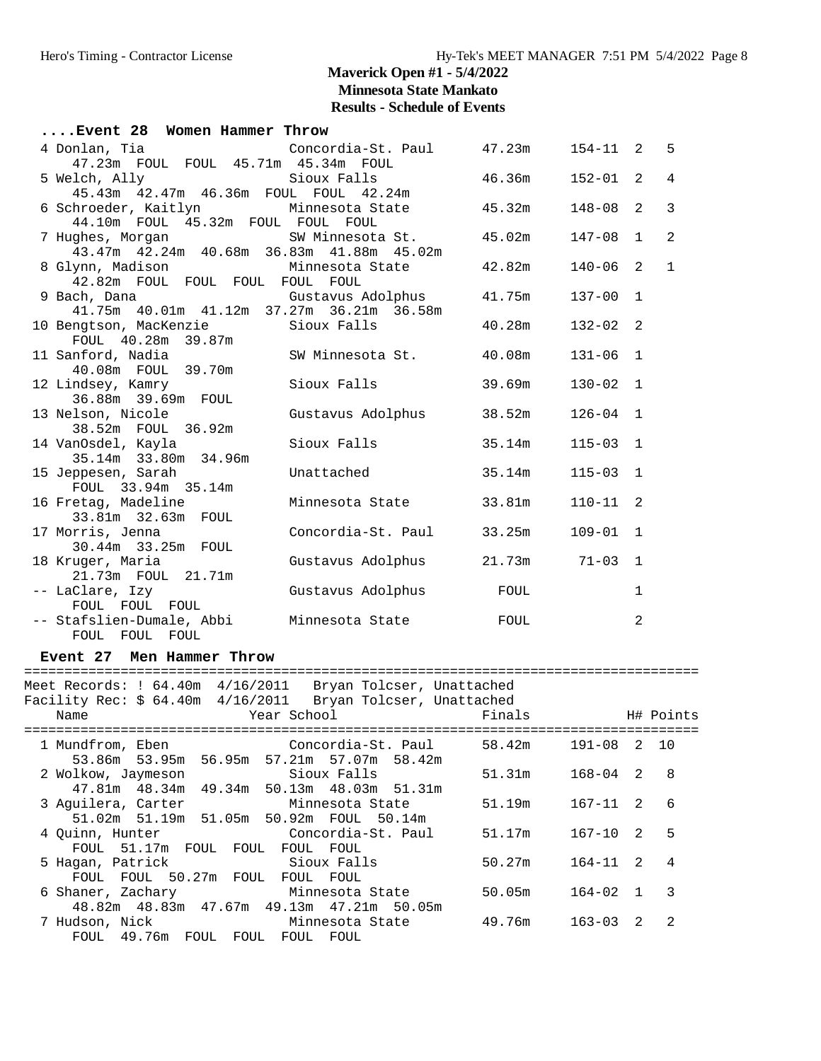| Event 28 Women Hammer Throw                    |                                       |        |              |              |                |
|------------------------------------------------|---------------------------------------|--------|--------------|--------------|----------------|
| 4 Donlan, Tia                                  | Concordia-St. Paul $47.23$ m 154-11 2 |        |              |              | 5              |
| 47.23m FOUL FOUL 45.71m 45.34m FOUL            |                                       |        |              |              |                |
|                                                |                                       | 46.36m | $152 - 01$   | 2            | 4              |
|                                                |                                       |        |              |              |                |
| 6 Schroeder, Kaitlyn Minnesota State           |                                       | 45.32m | $148 - 08$   | 2            | $\overline{3}$ |
| 44.10m FOUL 45.32m FOUL FOUL FOUL              |                                       |        |              |              |                |
| 7 Hughes, Morgan Norman SW Minnesota St.       |                                       | 45.02m | $147 - 08$   | $\mathbf{1}$ | $\overline{2}$ |
| 43.47m  42.24m  40.68m  36.83m  41.88m  45.02m |                                       |        |              |              |                |
| 8 Glynn, Madison Minnesota State               |                                       | 42.82m | $140 - 06$   | 2            | $\mathbf 1$    |
| 42.82m FOUL FOUL FOUL FOUL FOUL                |                                       |        |              |              |                |
| 9 Bach, Dana                                   | Gustavus Adolphus                     | 41.75m | $137 - 00$   | $\mathbf{1}$ |                |
| 41.75m  40.01m  41.12m  37.27m  36.21m  36.58m |                                       |        |              |              |                |
| 10 Bengtson, MacKenzie                         | Sioux Falls                           | 40.28m | $132 - 02$ 2 |              |                |
| FOUL 40.28m 39.87m                             |                                       |        |              |              |                |
| 11 Sanford, Nadia                              | SW Minnesota St.                      | 40.08m | $131 - 06$   | $\mathbf{1}$ |                |
| 40.08m FOUL 39.70m                             |                                       |        |              |              |                |
| 12 Lindsey, Kamry                              | Sioux Falls                           | 39.69m | $130 - 02$   | 1            |                |
| 36.88m 39.69m FOUL                             |                                       |        |              |              |                |
| 13 Nelson, Nicole                              | Gustavus Adolphus                     | 38.52m | $126 - 04$   | $\mathbf{1}$ |                |
| 38.52m FOUL 36.92m                             |                                       |        |              |              |                |
| 14 VanOsdel, Kayla                             | Sioux Falls                           | 35.14m | $115 - 03$   | $\mathbf{1}$ |                |
| 35.14m 33.80m 34.96m                           |                                       |        |              |              |                |
| 15 Jeppesen, Sarah                             | Unattached                            | 35.14m | $115 - 03$   | $\mathbf{1}$ |                |
| FOUL 33.94m 35.14m                             |                                       |        |              |              |                |
| 16 Fretag, Madeline                            | Minnesota State                       | 33.81m | $110 - 11$   | 2            |                |
| 33.81m 32.63m FOUL                             |                                       |        |              |              |                |
| 17 Morris, Jenna                               | Concordia-St. Paul                    | 33.25m | $109 - 01$   | $\mathbf{1}$ |                |
| 30.44m 33.25m FOUL                             |                                       |        | $71 - 03$    | $\mathbf{1}$ |                |
| 18 Kruger, Maria                               | Gustavus Adolphus                     | 21.73m |              |              |                |
| 21.73m FOUL 21.71m                             |                                       |        |              |              |                |
| -- LaClare, Izy                                | Gustavus Adolphus                     | FOUL   |              | $\mathbf{1}$ |                |
| FOUL FOUL FOUL                                 |                                       |        |              |              |                |
| -- Stafslien-Dumale, Abbi                      | Minnesota State                       | FOUL   |              | $\mathbf{2}$ |                |
| FOUL FOUL FOUL                                 |                                       |        |              |              |                |

### **Event 27 Men Hammer Throw**

| Meet Records: ! 64.40m                              4/16/2011  Bryan Tolcser, Unattached<br>rear School (1996) and the School (1997) and the School (1997) and the School (1997) and the School (1997) and<br>Name | Finals |                | H# Points      |
|--------------------------------------------------------------------------------------------------------------------------------------------------------------------------------------------------------------------|--------|----------------|----------------|
| 1 Mundfrom, Eben Concordia-St. Paul 58.42m<br>53.86m 53.95m 56.95m 57.21m 57.07m 58.42m                                                                                                                            |        | 191-08 2 10    |                |
| Sioux Falls<br>2 Wolkow, Jaymeson                                                                                                                                                                                  | 51.31m | 168-04 2 8     |                |
| 47.81m 48.34m 49.34m 50.13m 48.03m 51.31m<br>Minnesota State<br>3 Aguilera, Carter                                                                                                                                 | 51.19m | 167-11 2       | -6             |
| 51.02m 51.19m 51.05m 50.92m FOUL 50.14m<br>4 Quinn, Hunter Concordia-St. Paul                                                                                                                                      | 51.17m | 167-10 2       | 5              |
| FOUL 51.17m FOUL FOUL FOUL FOUL                                                                                                                                                                                    |        |                |                |
| 5 Hagan, Patrick Sioux Falls<br>FOUL FOUL 50.27m FOUL FOUL FOUL                                                                                                                                                    | 50.27m | 164-11 2       | $\overline{4}$ |
| 6 Shaner, Zachary Minnesota State                                                                                                                                                                                  | 50.05m | $164 - 02$ 1 3 |                |
| 48.82m  48.83m  47.67m  49.13m  47.21m  50.05m<br>7 Hudson, Nick and Minnesota State                                                                                                                               | 49.76m | $163 - 03$ 2   | $\mathfrak{D}$ |
| 49.76m FOUL FOUL FOUL<br>FOUL<br>FOUL                                                                                                                                                                              |        |                |                |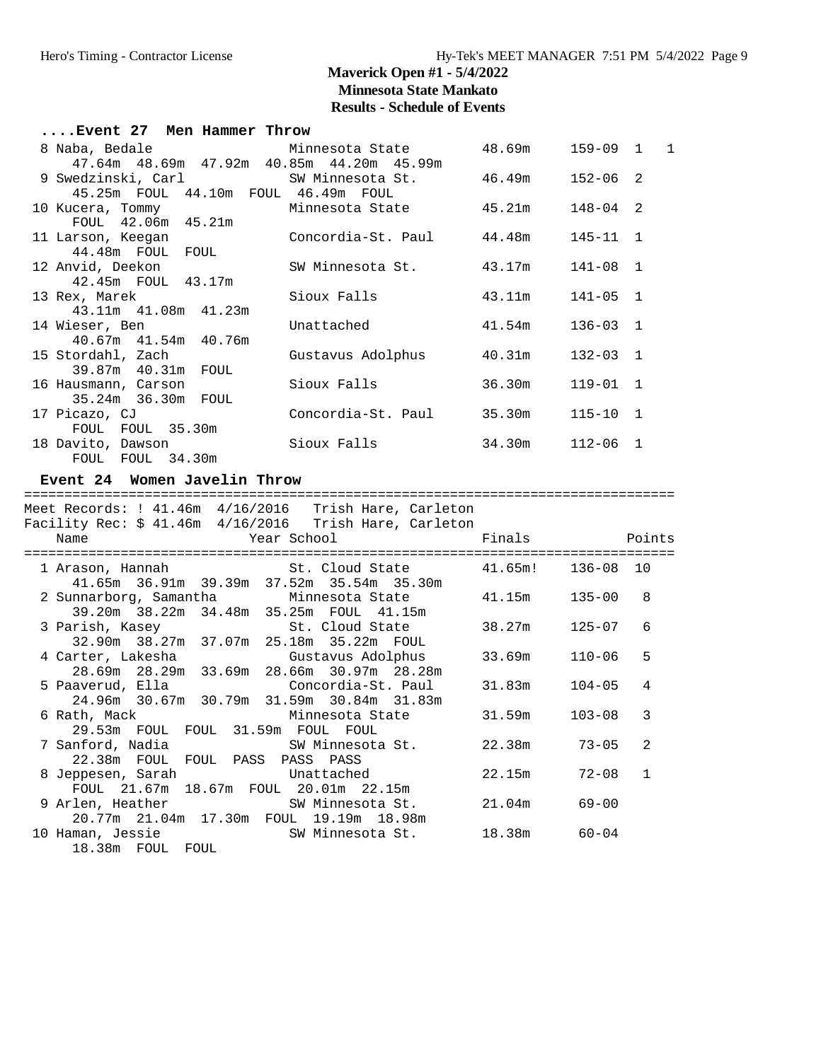| Event 27 Men Hammer Throw                                               |                                    |                 |              |              |
|-------------------------------------------------------------------------|------------------------------------|-----------------|--------------|--------------|
| 8 Naba, Bedale             Minnesota State         48.69m     159-09  1 |                                    |                 |              | $\mathbf{1}$ |
| 47.64m 48.69m 47.92m 40.85m 44.20m 45.99m                               |                                    |                 |              |              |
| 9 Swedzinski, Carl SW Minnesota St.                                     |                                    | 46.49m          | $152 - 06$ 2 |              |
| 45.25m FOUL 44.10m FOUL 46.49m FOUL                                     |                                    |                 |              |              |
| 10 Kucera, Tommy             Minnesota State                            |                                    | 45.21m          | $148 - 04$ 2 |              |
| FOUL 42.06m 45.21m                                                      |                                    |                 |              |              |
| 11 Larson, Keeqan                                                       | Concordia-St. Paul 44.48m 145-11 1 |                 |              |              |
| 44.48m FOUL FOUL                                                        |                                    |                 |              |              |
| 12 Anvid, Deekon                                                        | SW Minnesota St.                   | 43.17m          | 141-08 1     |              |
| 42.45m FOUL 43.17m                                                      |                                    |                 |              |              |
| 13 Rex, Marek                                                           | Sioux Falls                        | 43.11m          | $141 - 05$ 1 |              |
| 43.11m 41.08m 41.23m                                                    |                                    |                 |              |              |
| 14 Wieser, Ben                                                          | Unattached                         | 41.54m          | $136 - 03$ 1 |              |
| 40.67m 41.54m 40.76m                                                    |                                    |                 |              |              |
| 15 Stordahl, Zach                                                       | Gustavus Adolphus                  | 40.31m          | $132 - 03$ 1 |              |
| 39.87m  40.31m  FOUL                                                    |                                    |                 |              |              |
| 16 Hausmann, Carson                                                     | Sioux Falls                        | 36.30m          | $119 - 01$ 1 |              |
| 35.24m 36.30m FOUL                                                      |                                    |                 |              |              |
| 17 Picazo, CJ                                                           | Concordia-St. Paul                 | 35.30m          | $115 - 10$ 1 |              |
|                                                                         |                                    |                 |              |              |
| FOUL FOUL 35.30m                                                        |                                    |                 |              |              |
| 18 Davito, Dawson                                                       | Sioux Falls                        | 34.30m 112-06 1 |              |              |
| FOUL FOUL 34.30m                                                        |                                    |                 |              |              |

#### **Event 24 Women Javelin Throw**

================================================================================= Meet Records: ! 41.46m 4/16/2016 Trish Hare, Carleton Facility Rec: \$ 41.46m 4/16/2016 Trish Hare, Carleton Name The Year School Times Points Points ================================================================================= 1 Arason, Hannah St. Cloud State 41.65m! 136-08 10 41.65m 36.91m 39.39m 37.52m 35.54m 35.30m 2 Sunnarborg, Samantha Minnesota State 41.15m 135-00 8 39.20m 38.22m 34.48m 35.25m FOUL 41.15m 3 Parish, Kasey St. Cloud State 38.27m 125-07 6 32.90m 38.27m 37.07m 25.18m 35.22m FOUL 4 Carter, Lakesha Gustavus Adolphus 33.69m 110-06 5 28.69m 28.29m 33.69m 28.66m 30.97m 28.28m 5 Paaverud, Ella Concordia-St. Paul 31.83m 104-05 4 24.96m 30.67m 30.79m 31.59m 30.84m 31.83m 6 Rath, Mack Minnesota State 31.59m 103-08 3 29.53m FOUL FOUL 31.59m FOUL FOUL 7 Sanford, Nadia SW Minnesota St. 22.38m 73-05 2 22.38m FOUL FOUL PASS PASS PASS 8 Jeppesen, Sarah Unattached 22.15m 72-08 1 FOUL 21.67m 18.67m FOUL 20.01m 22.15m 9 Arlen, Heather SW Minnesota St. 21.04m 69-00 20.77m 21.04m 17.30m FOUL 19.19m 18.98m SW Minnesota St. 18.38m 60-04 18.38m FOUL FOUL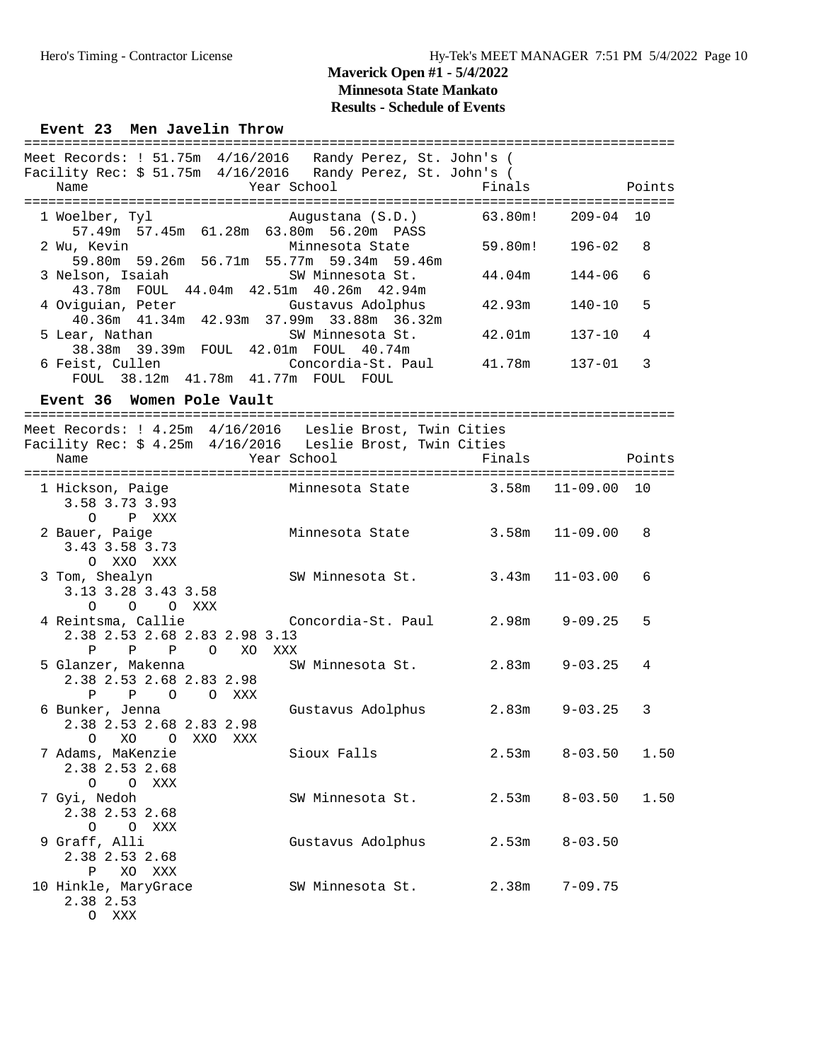#### **Event 23 Men Javelin Throw**

| Meet Records: ! 51.75m 4/16/2016 Randy Perez, St. John's (<br>Facility Rec: $$51.75m$ 4/16/2016 Randy Perez, St. John's (<br>Name | Year School            | Finals  |              | Points        |
|-----------------------------------------------------------------------------------------------------------------------------------|------------------------|---------|--------------|---------------|
|                                                                                                                                   |                        |         |              |               |
| 1 Woelber, Tyl<br>57.49m 57.45m 61.28m 63.80m 56.20m PASS                                                                         | Augustana (S.D.)       | 63.80m! | $209 - 04$   | 10            |
| 2 Wu, Kevin<br>59.80m 59.26m 56.71m 55.77m 59.34m 59.46m                                                                          | Minnesota State        | 59.80m! | $196 - 02$   | 8             |
| 3 Nelson, Isaiah<br>43.78m FOUL 44.04m 42.51m 40.26m 42.94m                                                                       | SW Minnesota St.       | 44.04m  | 144-06       | 6             |
| 4 Oviguian, Peter<br>40.36m  41.34m  42.93m  37.99m  33.88m  36.32m                                                               | Gustavus Adolphus      | 42.93m  | 140-10       | 5             |
| 5 Lear, Nathan<br>38.38m 39.39m FOUL 42.01m FOUL 40.74m                                                                           | SW Minnesota St.       | 42.01m  | 137-10       | 4             |
| 6 Feist, Cullen<br>FOUL 38.12m 41.78m 41.77m FOUL FOUL                                                                            | Concordia-St. Paul     | 41.78m  | 137-01       | 3             |
| Event 36 Women Pole Vault                                                                                                         |                        |         |              |               |
|                                                                                                                                   |                        |         |              |               |
| Meet Records: ! 4.25m  4/16/2016  Leslie Brost, Twin Cities<br>Facility Rec: \$ 4.25m  4/16/2016  Leslie Brost, Twin Cities       |                        |         |              |               |
| Name                                                                                                                              | Year School            | Finals  |              | Points        |
|                                                                                                                                   |                        |         |              | ============= |
| 1 Hickson, Paige<br>3.58 3.73 3.93                                                                                                | Minnesota State 3.58m  |         | $11 - 09.00$ | 10            |
| $\circ$<br>P XXX<br>2 Bauer, Paige<br>3.43 3.58 3.73                                                                              | Minnesota State        | 3.58m   | 11-09.00     | 8             |
| O XXO XXX                                                                                                                         |                        |         |              |               |
| 3 Tom, Shealyn<br>3.13 3.28 3.43 3.58<br>$\circ$<br>O OXXX                                                                        | SW Minnesota St. 3.43m |         | 11-03.00     | 6             |
| 4 Reintsma, Callie<br>2.38 2.53 2.68 2.83 2.98 3.13                                                                               | Concordia-St. Paul     | 2.98m   | $9 - 09.25$  | 5             |
| $\mathbf{P}$<br>P<br>$\mathbf P$<br>$\circ$<br>XO<br>XXX                                                                          |                        |         |              |               |
| 5 Glanzer, Makenna<br>2.38 2.53 2.68 2.83 2.98<br>$\mathbf{P}$<br>$\mathbb{P}$<br>$\overline{O}$<br>O XXX                         | SW Minnesota St. 2.83m |         | $9 - 03.25$  | 4             |
| 6 Bunker, Jenna<br>2.38 2.53 2.68 2.83 2.98                                                                                       | Gustavus Adolphus      | 2.83m   | $9 - 03.25$  | 3             |
| O XO O<br>XXO<br>XXX<br>7 Adams, MaKenzie<br>2.38 2.53 2.68                                                                       | Sioux Falls            | 2.53m   | $8 - 03.50$  | 1.50          |
| O O XXX<br>7 Gyi, Nedoh<br>2.38 2.53 2.68                                                                                         | SW Minnesota St.       | 2.53m   | $8 - 03.50$  | 1.50          |
| $\circ$<br>$\circ$<br>XXX<br>9 Graff, Alli<br>2.38 2.53 2.68<br>Ρ<br>XO<br>XXX                                                    | Gustavus Adolphus      | 2.53m   | $8 - 03.50$  |               |

 10 Hinkle, MaryGrace SW Minnesota St. 2.38m 7-09.75 2.38 2.53 O XXX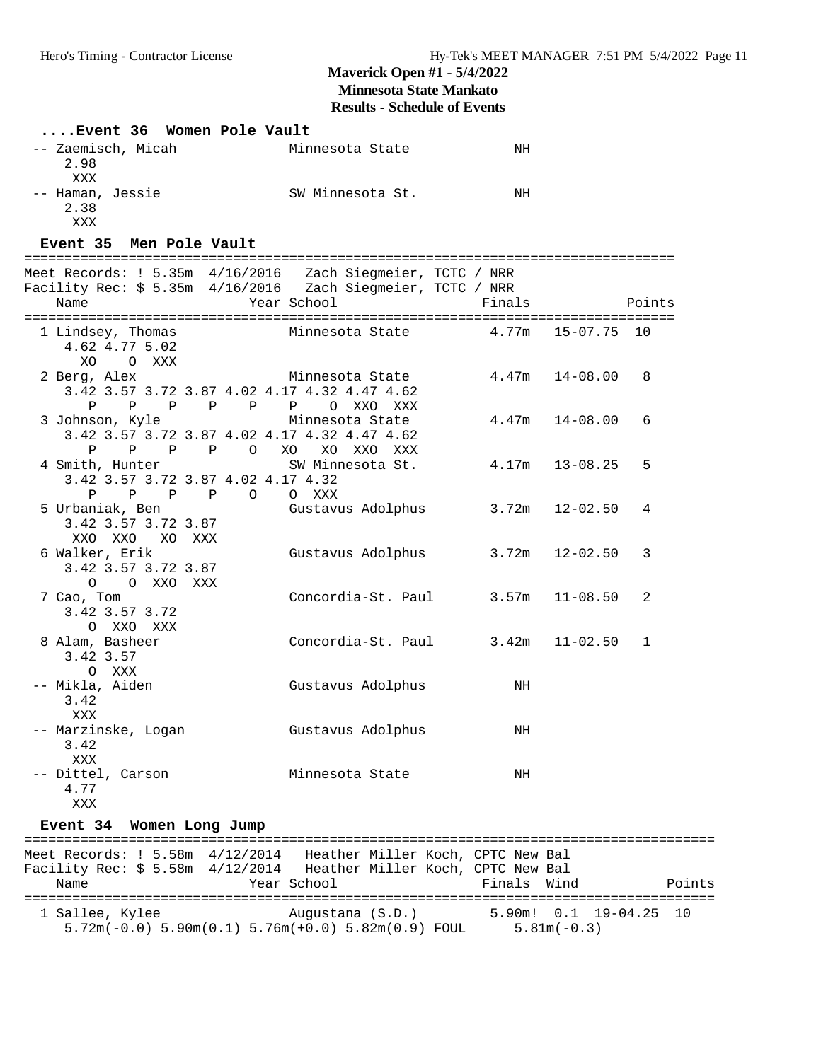**Results - Schedule of Events**

| Event 36 Women Pole Vault                                                                                                                                            |                                                                                              |             |                     |        |
|----------------------------------------------------------------------------------------------------------------------------------------------------------------------|----------------------------------------------------------------------------------------------|-------------|---------------------|--------|
| -- Zaemisch, Micah<br>2.98<br>XXX                                                                                                                                    | Minnesota State                                                                              | ΝH          |                     |        |
| -- Haman, Jessie<br>2.38<br>XXX                                                                                                                                      | SW Minnesota St.                                                                             | ΝH          |                     |        |
| Event 35 Men Pole Vault                                                                                                                                              |                                                                                              |             |                     |        |
| Meet Records: ! 5.35m 4/16/2016  Zach Siegmeier, TCTC / NRR<br>Facility Rec: \$ 5.35m 4/16/2016                                   Zach Siegmeier, TCTC / NRR<br>Name | Year School                                                                                  | Finals      |                     | Points |
| 1 Lindsey, Thomas<br>4.62 4.77 5.02<br>XO<br>O XXX                                                                                                                   | Minnesota State $4.77m$ 15-07.75 10                                                          |             |                     |        |
| 2 Berg, Alex<br>3.42 3.57 3.72 3.87 4.02 4.17 4.32 4.47 4.62<br>$\mathbf{P}$                                                                                         | Minnesota State<br>P P P P P O XXO XXX                                                       | 4.47m       | $14 - 08.00$        | 8      |
| 3 Johnson, Kyle<br>3.42 3.57 3.72 3.87 4.02 4.17 4.32 4.47 4.62<br>P P P O XO<br>Ρ                                                                                   | Minnesota State<br>XO XXO XXX                                                                |             | $4.47m$ $14-08.00$  | 6      |
| 4 Smith, Hunter<br>3.42 3.57 3.72 3.87 4.02 4.17 4.32<br>P P P<br>Ρ                                                                                                  | SW Minnesota St.<br>O O XXX                                                                  | 4.17m       | $13 - 08.25$        | 5      |
| 5 Urbaniak, Ben<br>3.42 3.57 3.72 3.87<br>XXO XXO<br>XO XXX                                                                                                          | Gustavus Adolphus                                                                            |             | $3.72m$ $12-02.50$  | 4      |
| 6 Walker, Erik<br>3.42 3.57 3.72 3.87<br>O O XXO XXX                                                                                                                 | Gustavus Adolphus                                                                            | 3.72m       | $12 - 02.50$        | 3      |
| 7 Cao, Tom<br>3.42 3.57 3.72<br>O XXO XXX                                                                                                                            | Concordia-St. Paul $3.57m$ 11-08.50                                                          |             |                     | 2      |
| 8 Alam, Basheer<br>3.42 3.57<br>O XXX                                                                                                                                | Concordia-St. Paul 3.42m                                                                     |             | $11 - 02.50$        | 1      |
| -- Mikla, Aiden<br>3.42<br>XXX                                                                                                                                       | Gustavus Adolphus                                                                            | NH          |                     |        |
| -- Marzinske, Logan<br>3.42<br>XXX                                                                                                                                   | Gustavus Adolphus                                                                            | NH          |                     |        |
| -- Dittel, Carson<br>4.77<br>XXX                                                                                                                                     | Minnesota State                                                                              | NH          |                     |        |
| Event 34 Women Long Jump                                                                                                                                             |                                                                                              |             |                     |        |
| Meet Records: ! 5.58m 4/12/2014   Heather Miller Koch, CPTC New Bal<br>Facility Rec: \$ 5.58m 4/12/2014 Heather Miller Koch, CPTC New Bal<br>Name                    | Year School                                                                                  | Finals Wind |                     | Points |
| 1 Sallee, Kylee                                                                                                                                                      | Augustana (S.D.)<br>$5.72m(-0.0)$ $5.90m(0.1)$ $5.76m(+0.0)$ $5.82m(0.9)$ FOUL $5.81m(-0.3)$ |             | 5.90m! 0.1 19-04.25 | 10     |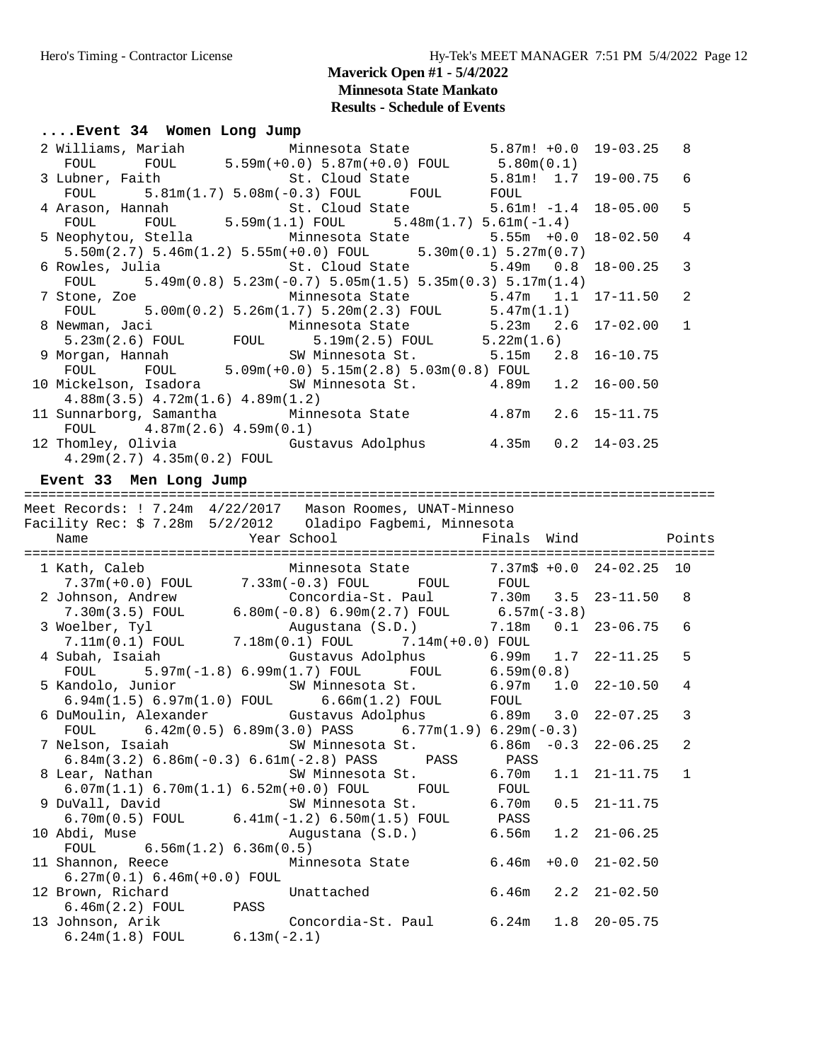**Results - Schedule of Events**

#### **....Event 34 Women Long Jump**

|  | 2 Williams, Mariah Minnesota State 5.87m! +0.0 19-03.25 8                                                 |  |  |  |
|--|-----------------------------------------------------------------------------------------------------------|--|--|--|
|  | FOUL FOUL $5.59m(+0.0) 5.87m(+0.0)$ FOUL $5.80m(0.1)$                                                     |  |  |  |
|  | 3 Lubner, Faith 6 1.0 St. Cloud State 5.81m! 1.7 19-00.75 6                                               |  |  |  |
|  | $F\text{OUL}$ $5.81\text{m}(1.7)$ $5.08\text{m}(-0.3)$ $F\text{OUL}$ $F\text{OUL}$ $F\text{OUL}$          |  |  |  |
|  |                                                                                                           |  |  |  |
|  |                                                                                                           |  |  |  |
|  | 5 Neophytou, Stella Minnesota State 5.55m +0.0 18-02.50 4                                                 |  |  |  |
|  | $5.50$ m $(2.7)$ $5.46$ m $(1.2)$ $5.55$ m $(+0.0)$ FOUL $5.30$ m $(0.1)$ $5.27$ m $(0.7)$                |  |  |  |
|  | 6 Rowles, Julia                       St. Cloud State             5.49m   0.8   18-00.25     3            |  |  |  |
|  | FOUL $5.49\text{m}(0.8)$ $5.23\text{m}(-0.7)$ $5.05\text{m}(1.5)$ $5.35\text{m}(0.3)$ $5.17\text{m}(1.4)$ |  |  |  |
|  | 7 Stone, Zoe             Minnesota State         5.47m   1.1   17-11.50   2                               |  |  |  |
|  | FOUL $5.00\text{m}(0.2)$ $5.26\text{m}(1.7)$ $5.20\text{m}(2.3)$ FOUL $5.47\text{m}(1.1)$                 |  |  |  |
|  | 8 Newman, Jaci Minnesota State 5.23m 2.6 17-02.00 1                                                       |  |  |  |
|  | $5.23\text{m}(2.6)$ FOUL FOUL $5.19\text{m}(2.5)$ FOUL $5.22\text{m}(1.6)$                                |  |  |  |
|  | 9 Morgan, Hannah SW Minnesota St. 5.15m 2.8 16-10.75                                                      |  |  |  |
|  | FOUL FOUL $5.09m(+0.0) 5.15m(2.8) 5.03m(0.8)$ FOUL                                                        |  |  |  |
|  | 10 Mickelson, Isadora           SW Minnesota St.         4.89m   1.2 16-00.50                             |  |  |  |
|  | $4.88$ m $(3.5)$ $4.72$ m $(1.6)$ $4.89$ m $(1.2)$                                                        |  |  |  |
|  | 11 Sunnarborg, Samantha Minnesota State 4.87m 2.6 15-11.75                                                |  |  |  |
|  | FOUL $4.87m(2.6) 4.59m(0.1)$                                                                              |  |  |  |
|  | 12 Thomley, Olivia     Gustavus Adolphus       4.35m   0.2   14-03.25                                     |  |  |  |
|  | $4.29m(2.7)$ $4.35m(0.2)$ FOUL                                                                            |  |  |  |

#### **Event 33 Men Long Jump**

#### ====================================================================================== Meet Records: ! 7.24m 4/22/2017 Mason Roomes, UNAT-Minneso Facility Rec: \$ 7.28m 5/2/2012 Oladipo Fagbemi, Minnesota Name  $Year School$  Finals Wind Points ====================================================================================== 1 Kath, Caleb Minnesota State 7.37m\$ +0.0 24-02.25 10 7.37m(+0.0) FOUL 7.33m(-0.3) FOUL FOUL FOUL 2 Johnson, Andrew Concordia-St. Paul 7.30m 3.5 23-11.50 8 7.30m(3.5) FOUL 6.80m(-0.8) 6.90m(2.7) FOUL 6.57m(-3.8) 3 Woelber, Tyl Augustana (S.D.) 7.18m 0.1 23-06.75 6 7.11m(0.1) FOUL 7.18m(0.1) FOUL 7.14m(+0.0) FOUL 4 Subah, Isaiah Gustavus Adolphus 6.99m 1.7 22-11.25 5 FOUL 5.97m(-1.8) 6.99m(1.7) FOUL FOUL 6.59m(0.8)

|                                 | FOUL $5.97m(-1.8) 6.99m(1.7)$ FOUL FOUL $6.59m(0.8)$                                   |  |                          |  |
|---------------------------------|----------------------------------------------------------------------------------------|--|--------------------------|--|
|                                 | 5 Kandolo, Junior 6.97m 1.0 22-10.50 4                                                 |  |                          |  |
|                                 | $6.94m(1.5) 6.97m(1.0)$ FOUL $6.66m(1.2)$ FOUL FOUL                                    |  |                          |  |
|                                 | 6 DuMoulin, Alexander Gustavus Adolphus 6.89m 3.0 22-07.25 3                           |  |                          |  |
|                                 | FOUL $6.42\text{m}(0.5) 6.89\text{m}(3.0)$ PASS $6.77\text{m}(1.9) 6.29\text{m}(-0.3)$ |  |                          |  |
|                                 | 7 Nelson, Isaiah Manuel SW Minnesota St.                                               |  | $6.86m - 0.3$ 22-06.25 2 |  |
|                                 | $6.84m(3.2) 6.86m(-0.3) 6.61m(-2.8) PASS$ PASS PASS                                    |  |                          |  |
|                                 | 8 Lear, Nathan Market SW Minnesota St. 6.70m 1.1 21-11.75 1                            |  |                          |  |
|                                 | $6.07m(1.1) 6.70m(1.1) 6.52m(+0.0) FOUL$ FOUL FOUL                                     |  |                          |  |
|                                 | 9 DuVall, David             SW Minnesota St.         6.70m   0.5   21-11.75            |  |                          |  |
|                                 | 6.70 $m(0.5)$ FOUL 6.41 $m(-1.2)$ 6.50 $m(1.5)$ FOUL PASS                              |  |                          |  |
|                                 | 10 Abdi, Muse (S.D.) 6.56m 1.2 21-06.25                                                |  |                          |  |
| FOUL $6.56m(1.2) 6.36m(0.5)$    |                                                                                        |  |                          |  |
|                                 | 11 Shannon, Reece Minnesota State 6.46m +0.0 21-02.50                                  |  |                          |  |
| $6.27m(0.1) 6.46m(+0.0) F0UL$   |                                                                                        |  |                          |  |
| 12 Brown, Richard Unattached    |                                                                                        |  | $6.46m$ $2.2$ $21-02.50$ |  |
| $6.46m(2.2)$ FOUL PASS          |                                                                                        |  |                          |  |
|                                 | 13 Johnson, Arik Concordia-St. Paul 6.24m 1.8 20-05.75                                 |  |                          |  |
| $6.24m(1.8)$ FOUL $6.13m(-2.1)$ |                                                                                        |  |                          |  |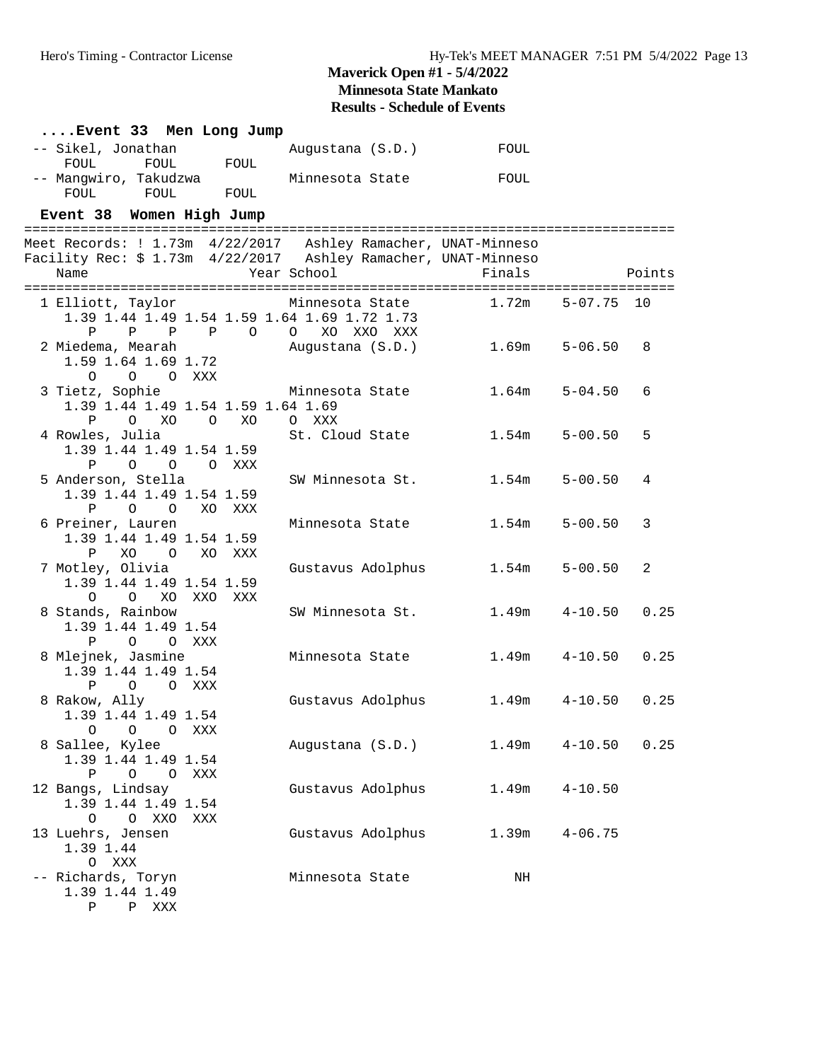| Event 33 Men Long Jump                                                                                                                    |              |                   |        |                   |        |
|-------------------------------------------------------------------------------------------------------------------------------------------|--------------|-------------------|--------|-------------------|--------|
| -- Sikel, Jonathan                                                                                                                        |              | Augustana (S.D.)  | FOUL   |                   |        |
| FOUL<br>FOUL<br>-- Mangwiro, Takudzwa<br><b>FOUL</b><br>FOUL                                                                              | FOUL<br>FOUL | Minnesota State   | FOUL   |                   |        |
| Event 38 Women High Jump                                                                                                                  |              |                   |        |                   |        |
|                                                                                                                                           |              |                   |        |                   |        |
| Meet Records: ! 1.73m  4/22/2017  Ashley Ramacher, UNAT-Minneso<br>Facility Rec: \$ 1.73m 4/22/2017 Ashley Ramacher, UNAT-Minneso<br>Name |              | Year School       | Finals |                   | Points |
|                                                                                                                                           |              |                   |        |                   |        |
| 1 Elliott, Taylor<br>1.39 1.44 1.49 1.54 1.59 1.64 1.69 1.72 1.73                                                                         |              | Minnesota State   | 1.72m  | $5 - 07.75$       | 10     |
| P<br>$P$ $P$ $P$ 0 0                                                                                                                      |              | XO XXO XXX        |        |                   |        |
| 2 Miedema, Mearah<br>1.59 1.64 1.69 1.72<br>$\circ$<br>O O XXX                                                                            |              | Augustana (S.D.)  | 1.69m  | $5 - 06.50$       | 8      |
| 3 Tietz, Sophie                                                                                                                           |              | Minnesota State   | 1.64m  | $5 - 04.50$       | 6      |
| 1.39 1.44 1.49 1.54 1.59 1.64 1.69                                                                                                        |              |                   |        |                   |        |
| $\mathbf{P}$<br>O XO O                                                                                                                    | XO           | O XXX             |        |                   |        |
| 4 Rowles, Julia<br>1.39 1.44 1.49 1.54 1.59                                                                                               |              | St. Cloud State   | 1.54m  | $5 - 00.50$       | 5      |
| $\circ$ $\circ$<br>Ρ                                                                                                                      | O XXX        |                   |        |                   |        |
| 5 Anderson, Stella                                                                                                                        |              | SW Minnesota St.  | 1.54m  | $5 - 00.50$       | 4      |
| 1.39 1.44 1.49 1.54 1.59                                                                                                                  |              |                   |        |                   |        |
| O O XO XXX<br>P<br>6 Preiner, Lauren                                                                                                      |              | Minnesota State   | 1.54m  | $5 - 00.50$       | 3      |
| 1.39 1.44 1.49 1.54 1.59                                                                                                                  |              |                   |        |                   |        |
| P<br>XO<br>$\overline{O}$                                                                                                                 | XO XXX       |                   |        |                   |        |
| 7 Motley, Olivia                                                                                                                          |              | Gustavus Adolphus | 1.54m  | $5 - 00.50$       | 2      |
| 1.39 1.44 1.49 1.54 1.59                                                                                                                  |              |                   |        |                   |        |
| $\circ$<br>O XO XXO XXX<br>8 Stands, Rainbow                                                                                              |              | SW Minnesota St.  | 1.49m  | $4 - 10.50$       | 0.25   |
| 1.39 1.44 1.49 1.54                                                                                                                       |              |                   |        |                   |        |
| P<br>O O XXX                                                                                                                              |              |                   |        |                   |        |
| 8 Mlejnek, Jasmine                                                                                                                        |              | Minnesota State   | 1.49m  | $4 - 10.50$       | 0.25   |
| 1.39 1.44 1.49 1.54<br>$\mathbf{P}$<br>O O XXX                                                                                            |              |                   |        |                   |        |
| 8 Rakow, Ally                                                                                                                             |              | Gustavus Adolphus |        | $1.49m$ $4-10.50$ | 0.25   |
| 1.39 1.44 1.49 1.54                                                                                                                       |              |                   |        |                   |        |
| O O XXX<br>$\circ$                                                                                                                        |              |                   |        |                   |        |
| 8 Sallee, Kylee<br>1.39 1.44 1.49 1.54                                                                                                    |              | Augustana (S.D.)  | 1.49m  | $4 - 10.50$       | 0.25   |
| Ρ<br>O O XXX                                                                                                                              |              |                   |        |                   |        |
| 12 Bangs, Lindsay                                                                                                                         |              | Gustavus Adolphus | 1.49m  | $4 - 10.50$       |        |
| 1.39 1.44 1.49 1.54                                                                                                                       |              |                   |        |                   |        |
| O XXO<br>$\circ$                                                                                                                          | XXX          |                   |        |                   |        |
| 13 Luehrs, Jensen<br>1.39 1.44                                                                                                            |              | Gustavus Adolphus | 1.39m  | $4 - 06.75$       |        |
| O XXX                                                                                                                                     |              |                   |        |                   |        |
| -- Richards, Toryn                                                                                                                        |              | Minnesota State   | NH     |                   |        |
| 1.39 1.44 1.49                                                                                                                            |              |                   |        |                   |        |
| P P XXX                                                                                                                                   |              |                   |        |                   |        |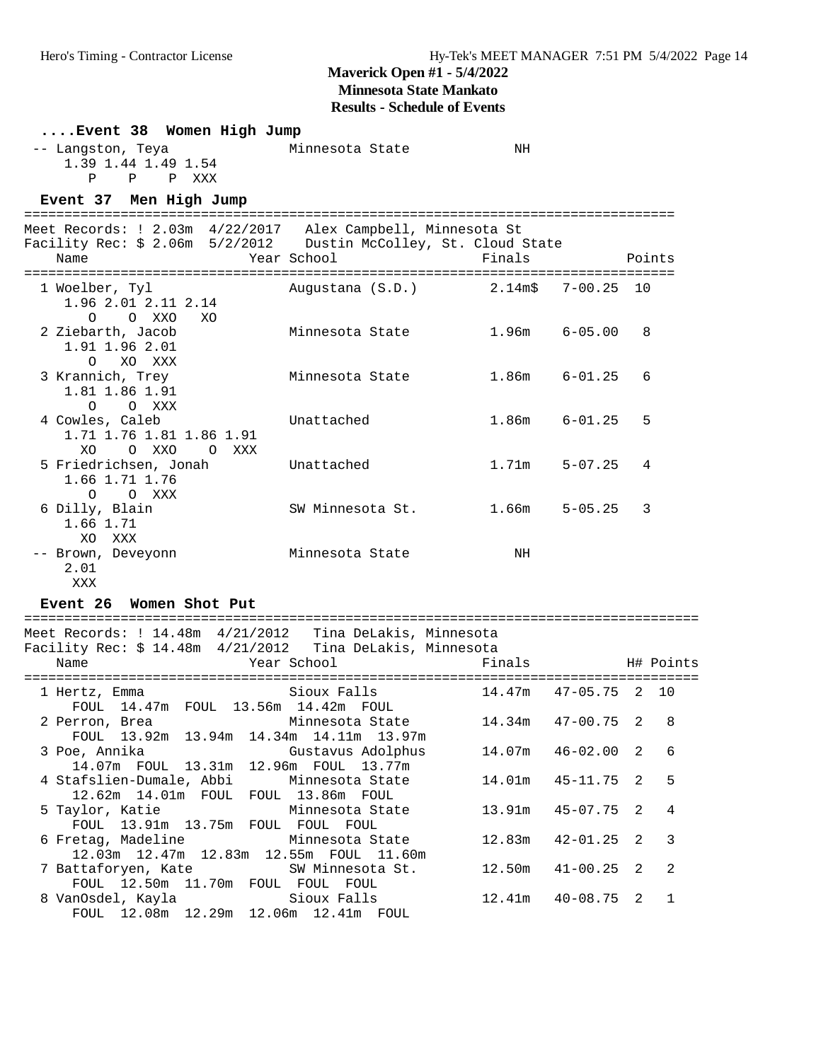**Results - Schedule of Events**

| Event 38 Women High Jump                                                                                                         |                                     |                   |             |        |
|----------------------------------------------------------------------------------------------------------------------------------|-------------------------------------|-------------------|-------------|--------|
| -- Langston, Teya<br>1.39 1.44 1.49 1.54<br>P P XXX<br>P                                                                         | Minnesota State                     | NH                |             |        |
| Event 37 Men High Jump                                                                                                           |                                     |                   |             |        |
| Meet Records: ! 2.03m 4/22/2017 Alex Campbell, Minnesota St<br>Facility Rec: \$ 2.06m 5/2/2012  Dustin McColley, St. Cloud State |                                     |                   |             |        |
| Name                                                                                                                             | Year School                         | Finals            |             | Points |
| 1 Woelber, Tyl<br>1.96 2.01 2.11 2.14<br>O O XXO<br>XO                                                                           | Augustana (S.D.) 2.14m\$ 7-00.25 10 |                   |             |        |
| 2 Ziebarth, Jacob<br>1.91 1.96 2.01<br>O XO XXX                                                                                  | Minnesota State                     | $1.96m$ $6-05.00$ |             | 8      |
| 3 Krannich, Trey<br>1.81 1.86 1.91<br>$O$ $O$ $XXX$                                                                              | Minnesota State                     | $1.86m$ $6-01.25$ |             | 6      |
| 4 Cowles, Caleb<br>1.71 1.76 1.81 1.86 1.91<br>XO OXXO OXXX                                                                      | Unattached                          | $1.86m$ $6-01.25$ |             | 5      |
| 5 Friedrichsen, Jonah<br>1.66 1.71 1.76<br>O XXX<br>$\Omega$                                                                     | Unattached                          | 1.71m             | $5 - 07.25$ | 4      |
| 6 Dilly, Blain<br>1.66 1.71<br>XO XXX                                                                                            | SW Minnesota St.                    | $1.66m$ 5-05.25   |             | 3      |
| -- Brown, Deveyonn<br>2.01<br>XXX                                                                                                | Minnesota State                     | NH                |             |        |

#### **Event 26 Women Shot Put**

==================================================================================== Meet Records: ! 14.48m 4/21/2012 Tina DeLakis, Minnesota Facility Rec: \$ 14.48m 4/21/2012 Tina DeLakis, Minnesota Name The Communication of the Communication of the Communication of the Manne Mean School Finals H# Points ==================================================================================== 1 Hertz, Emma Sioux Falls FOUL 14.47m FOUL 13.56m 14.42m FOUL 2 Perron, Brea Minnesota State 14.34m 47-00.75 2 8 FOUL 13.92m 13.94m 14.34m 14.11m 13.97m 3 Poe, Annika Gustavus Adolphus 14.07m 46-02.00 2 6 14.07m FOUL 13.31m 12.96m FOUL 13.77m 4 Stafslien-Dumale, Abbi Minnesota State 14.01m 45-11.75 2 5 12.62m 14.01m FOUL FOUL 13.86m FOUL 5 Taylor, Katie Minnesota State 13.91m 45-07.75 2 4 FOUL 13.91m 13.75m FOUL FOUL FOUL 6 Fretag, Madeline Minnesota State 12.83m 42-01.25 2 3 12.03m 12.47m 12.83m 12.55m FOUL 11.60m 7 Battaforyen, Kate SW Minnesota St. 12.50m 41-00.25 2 2 FOUL 12.50m 11.70m FOUL FOUL FOUL 8 VanOsdel, Kayla Sioux Falls 12.41m 40-08.75 2 1 FOUL 12.08m 12.29m 12.06m 12.41m FOUL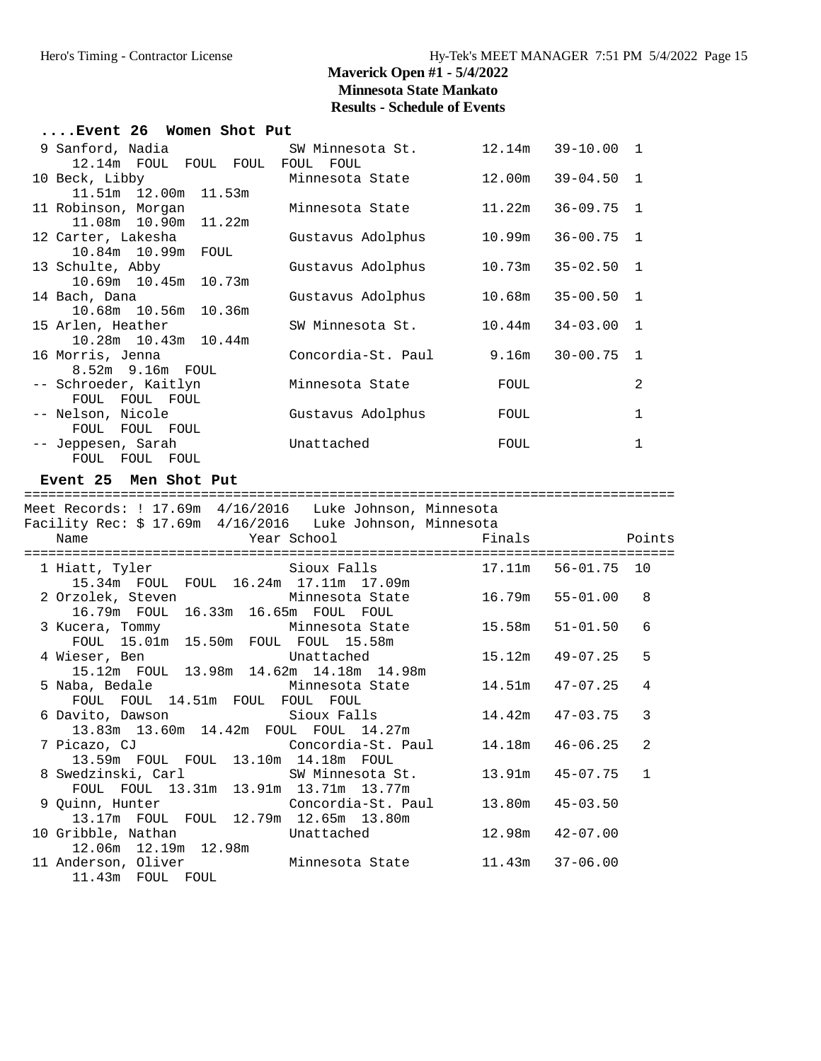| $\ldots$ Event 26 Women Shot Put          |                    |        |                       |                |  |  |
|-------------------------------------------|--------------------|--------|-----------------------|----------------|--|--|
| 9 Sanford, Nadia                          | SW Minnesota St.   |        | $12.14m$ $39-10.00$ 1 |                |  |  |
| 12.14m FOUL FOUL FOUL                     | FOUL<br>FOUL       |        |                       |                |  |  |
| 10 Beck, Libby                            | Minnesota State    | 12.00m | $39 - 04.50$          | $\overline{1}$ |  |  |
| 11.51m 12.00m 11.53m                      |                    |        |                       |                |  |  |
| 11 Robinson, Morgan                       | Minnesota State    | 11.22m | $36 - 09.75$ 1        |                |  |  |
| 11.08m 10.90m 11.22m                      |                    |        |                       |                |  |  |
| 12 Carter, Lakesha                        | Gustavus Adolphus  | 10.99m | $36 - 00.75$ 1        |                |  |  |
| 10.84m  10.99m<br>FOUL                    |                    |        |                       |                |  |  |
| 13 Schulte, Abby                          | Gustavus Adolphus  | 10.73m | $35 - 02.50$          | $\overline{1}$ |  |  |
| 10.69m 10.45m 10.73m                      |                    |        |                       |                |  |  |
| 14 Bach, Dana                             | Gustavus Adolphus  | 10.68m | 35-00.50              | $\overline{1}$ |  |  |
| 10.68m 10.56m 10.36m                      |                    |        |                       |                |  |  |
| 15 Arlen, Heather                         | SW Minnesota St.   | 10.44m | $34 - 03.00$          | $\mathbf{1}$   |  |  |
| 10.28m 10.43m 10.44m                      |                    |        |                       |                |  |  |
| 16 Morris, Jenna<br>$8.52m$ 9.16 $m$ FOUL | Concordia-St. Paul | 9.16m  | $30 - 00.75$          | $\overline{1}$ |  |  |
| -- Schroeder, Kaitlyn                     | Minnesota State    | FOUL   |                       | 2              |  |  |
| FOUL FOUL FOUL                            |                    |        |                       |                |  |  |
| -- Nelson, Nicole                         | Gustavus Adolphus  | FOUL   |                       | 1              |  |  |
| FOUL FOUL FOUL                            |                    |        |                       |                |  |  |
| -- Jeppesen, Sarah                        | Unattached         | FOUL   |                       | $\mathbf{1}$   |  |  |
| FOUL FOUL FOUL                            |                    |        |                       |                |  |  |

#### **Event 25 Men Shot Put**

================================================================================= Meet Records: ! 17.69m 4/16/2016 Luke Johnson, Minnesota Facility Rec: \$ 17.69m 4/16/2016 Luke Johnson, Minnesota Name The Year School Team Points Points ================================================================================= 1 Hiatt, Tyler Sioux Falls 17.11m 56-01.75 10 15.34m FOUL FOUL 16.24m 17.11m 17.09m 2 Orzolek, Steven Minnesota State 16.79m 55-01.00 8 16.79m FOUL 16.33m 16.65m FOUL FOUL<br>3 Kucera, Tommy Minnesota State 15.58m 51-01.50 6 3 Kucera, Tommy Minnesota State 15.58m 51-01.50 6 FOUL 15.01m 15.50m FOUL FOUL 15.58m 4 Wieser, Ben Unattached 15.12m 49-07.25 5 15.12m FOUL 13.98m 14.62m 14.18m 14.98m 5 Naba, Bedale Minnesota State 14.51m 47-07.25 4 FOUL FOUL 14.51m FOUL FOUL FOUL 6 Davito, Dawson Sioux Falls 14.42m 47-03.75 3 13.83m 13.60m 14.42m FOUL FOUL 14.27m 7 Picazo, CJ Concordia-St. Paul 14.18m 46-06.25 2 13.59m FOUL FOUL 13.10m 14.18m FOUL 13.59m FOUL FOUL 13.10m 14.18m FOUL<br>8 Swedzinski, Carl SW Minnesota St. 13.91m 45-07.75 1<br>FOUL FOUL 13.21m 12.91m 12.71m 12.77m FOUL FOUL 13.31m 13.91m 13.71m 13.77m 9 Quinn, Hunter Concordia-St. Paul 13.80m 45-03.50 13.17m FOUL FOUL 12.79m 12.65m 13.80m 10 Gribble, Nathan Unattached 12.98m 42-07.00 12.06m 12.19m 12.98m 11 Anderson, Oliver Minnesota State 11.43m 37-06.00 11.43m FOUL FOUL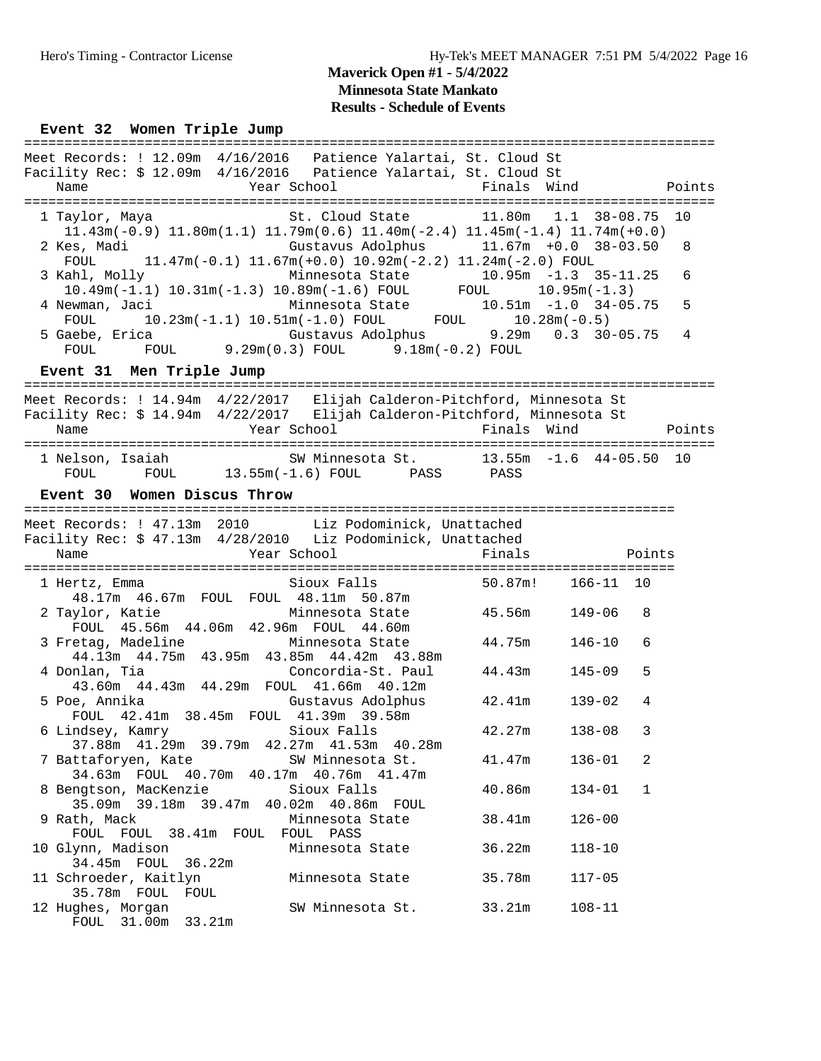### Event 32 Women Triple Jump

|                                                                                                                                                                            |                                                                                                            |             | =========================== |        |
|----------------------------------------------------------------------------------------------------------------------------------------------------------------------------|------------------------------------------------------------------------------------------------------------|-------------|-----------------------------|--------|
| Meet Records: ! 12.09m 4/16/2016  Patience Yalartai, St. Cloud St<br>Facility Rec: \$ 12.09m 4/16/2016  Patience Yalartai, St. Cloud St<br>Name                            | Year School                                                                                                | Finals Wind |                             | Points |
|                                                                                                                                                                            |                                                                                                            |             |                             |        |
| 1 Taylor, Maya<br>$11.43m(-0.9)$ $11.80m(1.1)$ $11.79m(0.6)$ $11.40m(-2.4)$ $11.45m(-1.4)$ $11.74m(+0.0)$                                                                  | St. Cloud State 11.80m 1.1 38-08.75 10                                                                     |             |                             |        |
| 2 Kes, Madi<br>FOUL                                                                                                                                                        | Gustavus Adolphus 11.67m +0.0 38-03.50<br>$11.47m(-0.1)$ $11.67m(+0.0)$ $10.92m(-2.2)$ $11.24m(-2.0)$ FOUL |             |                             | 8      |
| (ahl, Molly Minnesota State 10.95m -1.3 35-11.25<br>10.49m(-1.1) 10.31m(-1.3) 10.89m(-1.6) FOUL FOUL 10.95m(-1.3)<br>Ninnesota State 10.51m -1.0 34-05.75<br>3 Kahl, Molly |                                                                                                            |             |                             | 6      |
| 4 Newman, Jaci<br>FOUL                                                                                                                                                     | $10.23m(-1.1)$ $10.51m(-1.0)$ FOUL FOUL $10.28m(-0.5)$                                                     |             |                             | 5      |
| 5 Gaebe, Erica                       Gustavus Adolphus         9.29m     0.3   30-05.75<br>FOUL         FOUL           9.29m(0.3) FOUL       9.18m(-0.2) FOUL              |                                                                                                            |             |                             | 4      |
| Event 31 Men Triple Jump                                                                                                                                                   |                                                                                                            |             |                             |        |
| Meet Records: ! 14.94m  4/22/2017  Elijah Calderon-Pitchford, Minnesota St                                                                                                 |                                                                                                            |             |                             |        |
| Facility Rec: \$ 14.94m 4/22/2017 Elijah Calderon-Pitchford, Minnesota St                                                                                                  |                                                                                                            |             |                             |        |
| Name                                                                                                                                                                       | Year School                                                                                                | Finals Wind |                             | Points |
|                                                                                                                                                                            |                                                                                                            |             |                             |        |
| 1 Nelson, Isaiah Mannesota St. 13.55m -1.6 44-05.50 10                                                                                                                     |                                                                                                            |             |                             |        |
| FOUL FOUL 13.55m(-1.6) FOUL PASS PASS                                                                                                                                      |                                                                                                            |             |                             |        |
| Event 30 Women Discus Throw                                                                                                                                                |                                                                                                            |             |                             |        |
|                                                                                                                                                                            |                                                                                                            |             |                             |        |
| Meet Records: ! 47.13m 2010 Liz Podominick, Unattached<br>Facility Rec: \$47.13m 4/28/2010 Liz Podominick, Unattached                                                      |                                                                                                            |             |                             |        |
| Year School<br>Name                                                                                                                                                        |                                                                                                            | Finals      | Points                      |        |
|                                                                                                                                                                            |                                                                                                            |             |                             |        |
| 1 Hertz, Emma<br>rtz, Emma<br>48.17m 46.67m FOUL FOUL 48.11m 50.87m<br>Minnesota State 45.56m                                                                              | Sioux Falls                                                                                                | 50.87m!     | 166-11 10                   |        |
| 2 Taylor, Katie<br>FOUL 45.56m 44.06m 42.96m FOUL 44.60m                                                                                                                   |                                                                                                            |             | 149-06<br>8                 |        |
| 3 Fretag, Madeline<br>44.13m  44.75m  43.95m  43.85m  44.42m  43.88m                                                                                                       | Minnesota State                                                                                            | 44.75m      | $146 - 10$<br>6             |        |
| 4 Donlan, Tia<br>43.60m  44.43m  44.29m  FOUL  41.66m  40.12m                                                                                                              | Concordia-St. Paul                                                                                         | 44.43m      | 5<br>$145 - 09$             |        |
| 5 Poe, Annika                                                                                                                                                              | Gustavus Adolphus                                                                                          | 42.41m      | $139 - 02$<br>4             |        |
| FOUL 42.41m 38.45m FOUL 41.39m 39.58m<br>6 Lindsey, Kamry<br>Sioux Falls                                                                                                   |                                                                                                            | 42.27m      | $138 - 08$<br>3             |        |
| 37.88m  41.29m  39.79m  42.27m  41.53m  40.28m<br>7 Battaforyen, Kate                                                                                                      | SW Minnesota St.                                                                                           | 41.47m      | $136 - 01$<br>2             |        |
| 34.63m FOUL 40.70m 40.17m 40.76m 41.47m<br>8 Bengtson, MacKenzie                                                                                                           | Sioux Falls                                                                                                | 40.86m      | $\mathbf{1}$<br>$134 - 01$  |        |
| 35.09m 39.18m 39.47m 40.02m 40.86m FOUL                                                                                                                                    |                                                                                                            |             |                             |        |
| 9 Rath, Mack<br>FOUL FOUL 38.41m FOUL                                                                                                                                      | Minnesota State<br>FOUL PASS                                                                               | 38.41m      | $126 - 00$                  |        |
| 10 Glynn, Madison                                                                                                                                                          | Minnesota State                                                                                            | 36.22m      | $118 - 10$                  |        |
| 34.45m FOUL<br>36.22m<br>11 Schroeder, Kaitlyn                                                                                                                             | Minnesota State                                                                                            | 35.78m      | $117 - 05$                  |        |
| 35.78m FOUL FOUL<br>12 Hughes, Morgan<br>FOUL 31.00m 33.21m                                                                                                                | SW Minnesota St.                                                                                           | 33.21m      | $108 - 11$                  |        |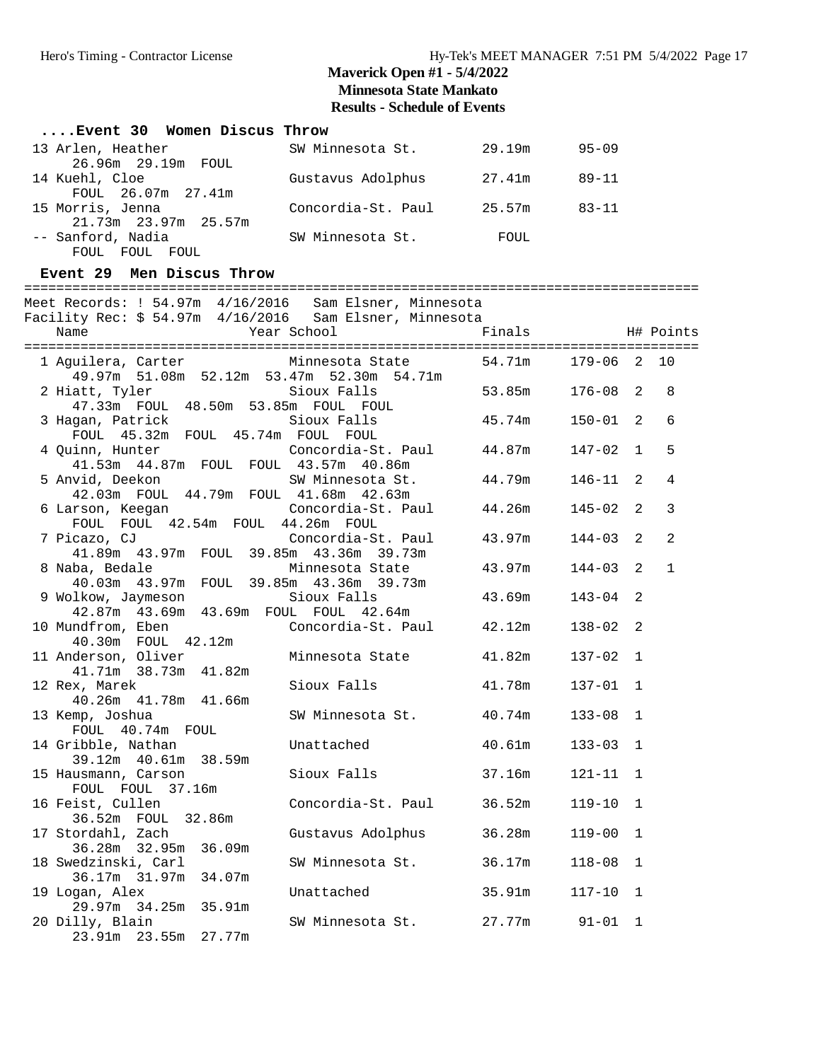### **....Event 30 Women Discus Throw** 13 Arlen, Heather SW Minnesota St. 29.19m 95-09 26.96m 29.19m FOUL<br>14 Kuehl, Cloe Gustavus Adolphus 27.41m 89-11

| FOUL 26.07m 27.41m   |                    |        |           |
|----------------------|--------------------|--------|-----------|
| 15 Morris, Jenna     | Concordia-St. Paul | 25.57m | $83 - 11$ |
| 21.73m 23.97m 25.57m |                    |        |           |
| -- Sanford, Nadia    | SW Minnesota St.   | FOUL   |           |
| FOUL FOUL FOUL       |                    |        |           |

#### **Event 29 Men Discus Throw**

#### ====================================================================================

Meet Records: ! 54.97m 4/16/2016 Sam Elsner, Minnesota Facility Rec: \$ 54.97m 4/16/2016 Sam Elsner, Minnesota

| racility nee y sits and is lost boat informed partnershed<br>Name                                       | Year School               | Finals H# Points |              |               |              |
|---------------------------------------------------------------------------------------------------------|---------------------------|------------------|--------------|---------------|--------------|
| 1 Aguilera, Carter 6 10 Minnesota State 54.71m 179-06 2 10<br>49.97m 51.08m 52.12m 53.47m 52.30m 54.71m |                           |                  |              |               |              |
| 2 Hiatt, Tyler<br>47.33m FOUL 48.50m 53.85m FOUL FOUL                                                   | Sioux Falls               | 53.85m           | $176 - 08$   | 2             | 8            |
| 3 Hagan, Patrick<br>FOUL 45.32m FOUL 45.74m FOUL FOUL                                                   | Sioux Falls               | 45.74m           | $150 - 01$   | 2             | 6            |
| 4 Quinn, Hunter<br>41.53m  44.87m  FOUL  FOUL  43.57m  40.86m                                           | Concordia-St. Paul 44.87m |                  | 147-02       | $\mathbf{1}$  | 5            |
| 5 Anvid, Deekon<br>42.03m FOUL 44.79m FOUL 41.68m 42.63m                                                | SW Minnesota St.          | 44.79m           | 146-11       | 2             | 4            |
| 6 Larson, Keegan Concordia-St. Paul 44.26m<br>FOUL FOUL 42.54m FOUL 44.26m FOUL                         |                           |                  | $145 - 02$   | 2             | $\mathbf{3}$ |
| 41.89m  43.97m  FOUL  39.85m  43.36m  39.73m                                                            |                           |                  | $144 - 03$   | 2             | 2            |
| 8 Naba, Bedale<br>40.03m  43.97m  FOUL  39.85m  43.36m  39.73m                                          | Minnesota State           | 43.97m           | 144-03       | $\mathcal{L}$ | $\mathbf{1}$ |
| 9 Wolkow, Jaymeson<br>42.87m  43.69m  43.69m  FOUL  FOUL  42.64m                                        | Sioux Falls               | 43.69m           | $143 - 04$   | 2             |              |
| 10 Mundfrom, Eben<br>40.30m FOUL 42.12m                                                                 | Concordia-St. Paul 42.12m |                  | $138 - 02$   | 2             |              |
| 11 Anderson, Oliver<br>41.71m 38.73m 41.82m                                                             | Minnesota State           | 41.82m           | 137-02       | $\mathbf{1}$  |              |
| 12 Rex, Marek<br>40.26m  41.78m  41.66m                                                                 | Sioux Falls               | 41.78m           | $137 - 01$ 1 |               |              |
| 13 Kemp, Joshua<br>FOUL 40.74m FOUL                                                                     | SW Minnesota St. 40.74m   |                  | $133 - 08$   | $\mathbf 1$   |              |
| 14 Gribble, Nathan<br>39.12m  40.61m  38.59m                                                            | Unattached                | 40.61m           | $133 - 03$   | $\mathbf{1}$  |              |
| 15 Hausmann, Carson<br>FOUL FOUL 37.16m                                                                 | Sioux Falls               | 37.16m           | $121 - 11$ 1 |               |              |
| 16 Feist, Cullen<br>36.52m FOUL 32.86m                                                                  | Concordia-St. Paul 36.52m |                  | $119 - 10$   | $\mathbf{1}$  |              |
| 17 Stordahl, Zach<br>36.28m 32.95m 36.09m                                                               | Gustavus Adolphus         | 36.28m           | $119 - 00$   | $\mathbf{1}$  |              |
| 18 Swedzinski, Carl<br>36.17m 31.97m 34.07m                                                             | SW Minnesota St. 36.17m   |                  | $118 - 08$   | $\mathbf{1}$  |              |
| 19 Logan, Alex<br>29.97m 34.25m 35.91m                                                                  | Unattached                | 35.91m           | 117-10       | $\mathbf{1}$  |              |
| 20 Dilly, Blain<br>23.91m 23.55m 27.77m                                                                 | SW Minnesota St. 27.77m   |                  | $91 - 01$    | $\mathbf{1}$  |              |